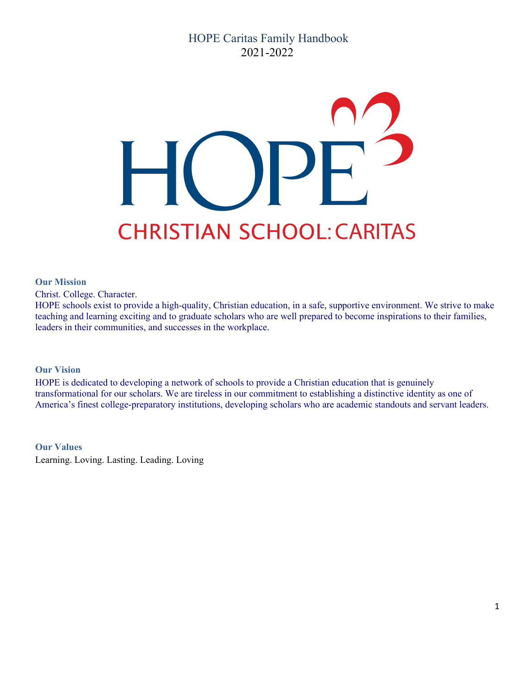# HOPE Caritas Family Handbook 2021-2022



#### **Our Mission**

Christ. College. Character.

HOPE schools exist to provide a high-quality, Christian education, in a safe, supportive environment. We strive to make teaching and learning exciting and to graduate scholars who are well prepared to become inspirations to their families, leaders in their communities, and successes in the workplace.

#### **Our Vision**

HOPE is dedicated to developing a network of schools to provide a Christian education that is genuinely transformational for our scholars. We are tireless in our commitment to establishing a distinctive identity as one of America's finest college-preparatory institutions, developing scholars who are academic standouts and servant leaders.

**Our Values** Learning. Loving. Lasting. Leading. Loving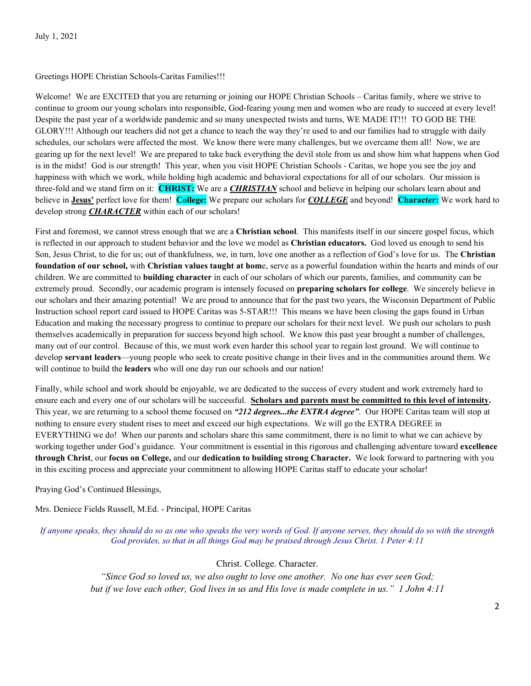#### Greetings HOPE Christian Schools-Caritas Families!!!

Welcome! We are EXCITED that you are returning or joining our HOPE Christian Schools – Caritas family, where we strive to continue to groom our young scholars into responsible, God-fearing young men and women who are ready to succeed at every level! Despite the past year of a worldwide pandemic and so many unexpected twists and turns, WE MADE IT!!! TO GOD BE THE GLORY!!! Although our teachers did not get a chance to teach the way they're used to and our families had to struggle with daily schedules, our scholars were affected the most. We know there were many challenges, but we overcame them all! Now, we are gearing up for the next level! We are prepared to take back everything the devil stole from us and show him what happens when God is in the midst! God is our strength! This year, when you visit HOPE Christian Schools - Caritas, we hope you see the joy and happiness with which we work, while holding high academic and behavioral expectations for all of our scholars. Our mission is three-fold and we stand firm on it: **CHRIST:** We are a *CHRISTIAN* school and believe in helping our scholars learn about and believe in **Jesus'** perfect love for them! **College:** We prepare our scholars for *COLLEGE* and beyond! **Character:** We work hard to develop strong *CHARACTER* within each of our scholars!

First and foremost, we cannot stress enough that we are a **Christian school**. This manifests itself in our sincere gospel focus, which is reflected in our approach to student behavior and the love we model as **Christian educators.** God loved us enough to send his Son, Jesus Christ, to die for us; out of thankfulness, we, in turn, love one another as a reflection of God's love for us. The **Christian foundation of our school,** with **Christian values taught at hom**e, serve as a powerful foundation within the hearts and minds of our children. We are committed to **building character** in each of our scholars of which our parents, families, and community can be extremely proud. Secondly, our academic program is intensely focused on **preparing scholars for college**. We sincerely believe in our scholars and their amazing potential! We are proud to announce that for the past two years, the Wisconsin Department of Public Instruction school report card issued to HOPE Caritas was 5-STAR!!! This means we have been closing the gaps found in Urban Education and making the necessary progress to continue to prepare our scholars for their next level. We push our scholars to push themselves academically in preparation for success beyond high school. We know this past year brought a number of challenges, many out of our control. Because of this, we must work even harder this school year to regain lost ground. We will continue to develop **servant leaders**—young people who seek to create positive change in their lives and in the communities around them. We will continue to build the **leaders** who will one day run our schools and our nation!

Finally, while school and work should be enjoyable, we are dedicated to the success of every student and work extremely hard to ensure each and every one of our scholars will be successful. **Scholars and parents must be committed to this level of intensity.** This year, we are returning to a school theme focused on *"212 degrees...the EXTRA degree"*. Our HOPE Caritas team will stop at nothing to ensure every student rises to meet and exceed our high expectations. We will go the EXTRA DEGREE in EVERYTHING we do! When our parents and scholars share this same commitment, there is no limit to what we can achieve by working together under God's guidance. Your commitment is essential in this rigorous and challenging adventure toward **excellence through Christ**, our **focus on College,** and our **dedication to building strong Character.** We look forward to partnering with you in this exciting process and appreciate your commitment to allowing HOPE Caritas staff to educate your scholar!

Praying God's Continued Blessings,

Mrs. Deniece Fields Russell, M.Ed. - Principal, HOPE Caritas

*If anyone speaks, they should do so as one who speaks the very words of God. If anyone serves, they should do so with the strength God provides, so that in all things God may be praised through Jesus Christ. 1 Peter 4:11*

Christ. College. Character.

*"Since God so loved us, we also ought to love one another. No one has ever seen God; but if we love each other, God lives in us and His love is made complete in us." 1 John 4:11*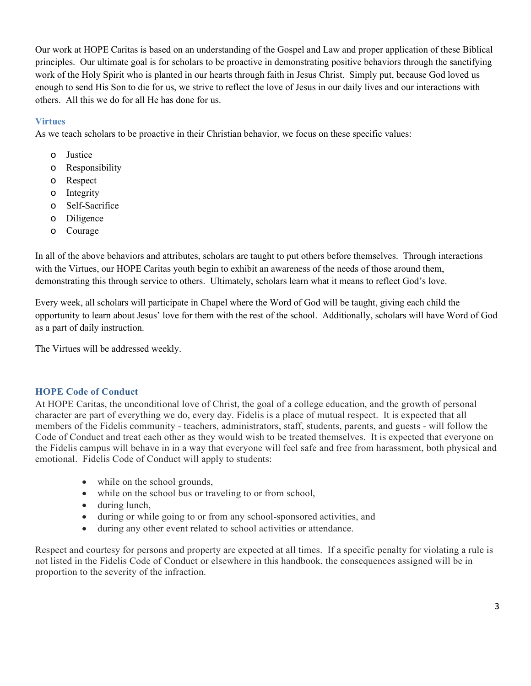Our work at HOPE Caritas is based on an understanding of the Gospel and Law and proper application of these Biblical principles. Our ultimate goal is for scholars to be proactive in demonstrating positive behaviors through the sanctifying work of the Holy Spirit who is planted in our hearts through faith in Jesus Christ. Simply put, because God loved us enough to send His Son to die for us, we strive to reflect the love of Jesus in our daily lives and our interactions with others. All this we do for all He has done for us.

# **Virtues**

As we teach scholars to be proactive in their Christian behavior, we focus on these specific values:

- o Justice
- o Responsibility
- o Respect
- o Integrity
- o Self-Sacrifice
- o Diligence
- o Courage

In all of the above behaviors and attributes, scholars are taught to put others before themselves. Through interactions with the Virtues, our HOPE Caritas youth begin to exhibit an awareness of the needs of those around them, demonstrating this through service to others. Ultimately, scholars learn what it means to reflect God's love.

Every week, all scholars will participate in Chapel where the Word of God will be taught, giving each child the opportunity to learn about Jesus' love for them with the rest of the school. Additionally, scholars will have Word of God as a part of daily instruction.

The Virtues will be addressed weekly.

# **HOPE Code of Conduct**

At HOPE Caritas, the unconditional love of Christ, the goal of a college education, and the growth of personal character are part of everything we do, every day. Fidelis is a place of mutual respect. It is expected that all members of the Fidelis community - teachers, administrators, staff, students, parents, and guests - will follow the Code of Conduct and treat each other as they would wish to be treated themselves. It is expected that everyone on the Fidelis campus will behave in in a way that everyone will feel safe and free from harassment, both physical and emotional. Fidelis Code of Conduct will apply to students:

- while on the school grounds,
- while on the school bus or traveling to or from school,
- during lunch,
- during or while going to or from any school-sponsored activities, and
- during any other event related to school activities or attendance.

Respect and courtesy for persons and property are expected at all times. If a specific penalty for violating a rule is not listed in the Fidelis Code of Conduct or elsewhere in this handbook, the consequences assigned will be in proportion to the severity of the infraction.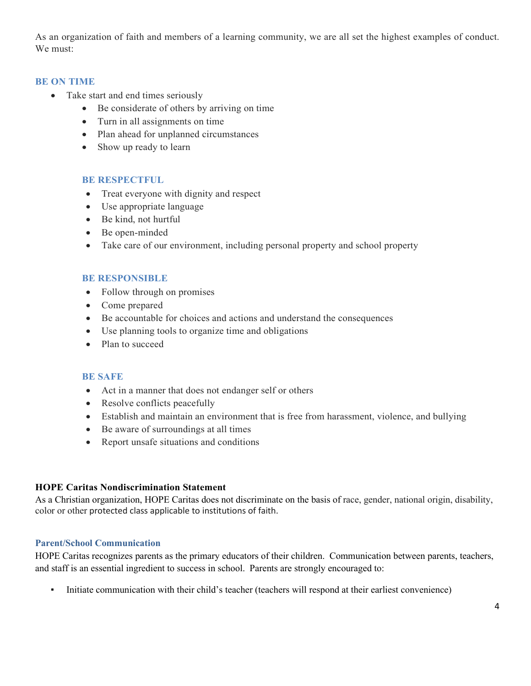As an organization of faith and members of a learning community, we are all set the highest examples of conduct. We must:

## **BE ON TIME**

- Take start and end times seriously
	- Be considerate of others by arriving on time
	- Turn in all assignments on time
	- Plan ahead for unplanned circumstances
	- Show up ready to learn

## **BE RESPECTFUL**

- Treat everyone with dignity and respect
- Use appropriate language
- Be kind, not hurtful
- Be open-minded
- Take care of our environment, including personal property and school property

## **BE RESPONSIBLE**

- Follow through on promises
- Come prepared
- Be accountable for choices and actions and understand the consequences
- Use planning tools to organize time and obligations
- Plan to succeed

#### **BE SAFE**

- Act in a manner that does not endanger self or others
- Resolve conflicts peacefully
- Establish and maintain an environment that is free from harassment, violence, and bullying
- Be aware of surroundings at all times
- Report unsafe situations and conditions

#### **HOPE Caritas Nondiscrimination Statement**

As a Christian organization, HOPE Caritas does not discriminate on the basis of race, gender, national origin, disability, color or other protected class applicable to institutions of faith.

# **Parent/School Communication**

HOPE Caritas recognizes parents as the primary educators of their children. Communication between parents, teachers, and staff is an essential ingredient to success in school. Parents are strongly encouraged to:

▪ Initiate communication with their child's teacher (teachers will respond at their earliest convenience)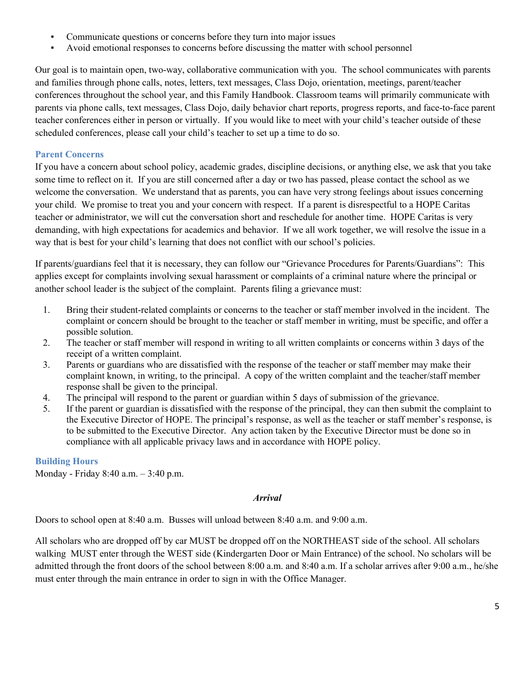- Communicate questions or concerns before they turn into major issues
- Avoid emotional responses to concerns before discussing the matter with school personnel

Our goal is to maintain open, two-way, collaborative communication with you. The school communicates with parents and families through phone calls, notes, letters, text messages, Class Dojo, orientation, meetings, parent/teacher conferences throughout the school year, and this Family Handbook. Classroom teams will primarily communicate with parents via phone calls, text messages, Class Dojo, daily behavior chart reports, progress reports, and face-to-face parent teacher conferences either in person or virtually. If you would like to meet with your child's teacher outside of these scheduled conferences, please call your child's teacher to set up a time to do so.

# **Parent Concerns**

If you have a concern about school policy, academic grades, discipline decisions, or anything else, we ask that you take some time to reflect on it. If you are still concerned after a day or two has passed, please contact the school as we welcome the conversation. We understand that as parents, you can have very strong feelings about issues concerning your child. We promise to treat you and your concern with respect. If a parent is disrespectful to a HOPE Caritas teacher or administrator, we will cut the conversation short and reschedule for another time. HOPE Caritas is very demanding, with high expectations for academics and behavior. If we all work together, we will resolve the issue in a way that is best for your child's learning that does not conflict with our school's policies.

If parents/guardians feel that it is necessary, they can follow our "Grievance Procedures for Parents/Guardians": This applies except for complaints involving sexual harassment or complaints of a criminal nature where the principal or another school leader is the subject of the complaint. Parents filing a grievance must:

- 1. Bring their student-related complaints or concerns to the teacher or staff member involved in the incident. The complaint or concern should be brought to the teacher or staff member in writing, must be specific, and offer a possible solution.
- 2. The teacher or staff member will respond in writing to all written complaints or concerns within 3 days of the receipt of a written complaint.
- 3. Parents or guardians who are dissatisfied with the response of the teacher or staff member may make their complaint known, in writing, to the principal. A copy of the written complaint and the teacher/staff member response shall be given to the principal.
- 4. The principal will respond to the parent or guardian within 5 days of submission of the grievance.
- 5. If the parent or guardian is dissatisfied with the response of the principal, they can then submit the complaint to the Executive Director of HOPE. The principal's response, as well as the teacher or staff member's response, is to be submitted to the Executive Director. Any action taken by the Executive Director must be done so in compliance with all applicable privacy laws and in accordance with HOPE policy.

# **Building Hours**

Monday - Friday 8:40 a.m. – 3:40 p.m.

# *Arrival*

Doors to school open at 8:40 a.m. Busses will unload between 8:40 a.m. and 9:00 a.m.

All scholars who are dropped off by car MUST be dropped off on the NORTHEAST side of the school. All scholars walking MUST enter through the WEST side (Kindergarten Door or Main Entrance) of the school. No scholars will be admitted through the front doors of the school between 8:00 a.m. and 8:40 a.m. If a scholar arrives after 9:00 a.m., he/she must enter through the main entrance in order to sign in with the Office Manager.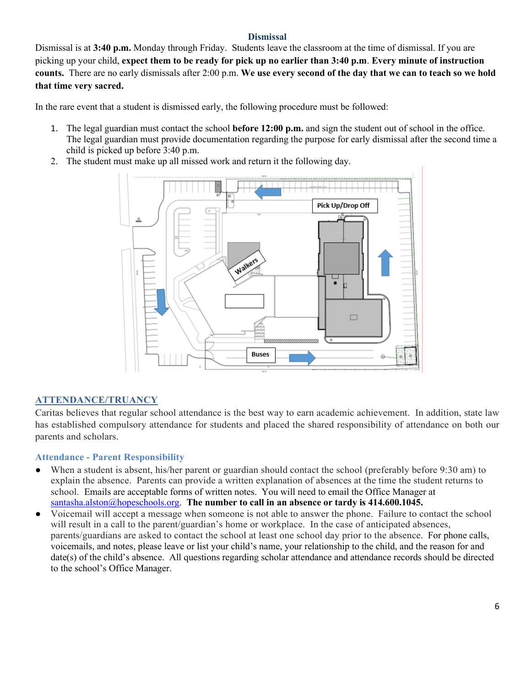#### **Dismissal**

Dismissal is at **3:40 p.m.** Monday through Friday. Students leave the classroom at the time of dismissal. If you are picking up your child, **expect them to be ready for pick up no earlier than 3:40 p.m**. **Every minute of instruction counts.** There are no early dismissals after 2:00 p.m. **We use every second of the day that we can to teach so we hold that time very sacred.** 

In the rare event that a student is dismissed early, the following procedure must be followed:

- 1. The legal guardian must contact the school **before 12:00 p.m.** and sign the student out of school in the office. The legal guardian must provide documentation regarding the purpose for early dismissal after the second time a child is picked up before 3:40 p.m.
- 2. The student must make up all missed work and return it the following day.



# **ATTENDANCE/TRUANCY**

Caritas believes that regular school attendance is the best way to earn academic achievement. In addition, state law has established compulsory attendance for students and placed the shared responsibility of attendance on both our parents and scholars.

#### **Attendance - Parent Responsibility**

- When a student is absent, his/her parent or guardian should contact the school (preferably before 9:30 am) to explain the absence. Parents can provide a written explanation of absences at the time the student returns to school. Emails are acceptable forms of written notes. You will need to email the Office Manager at [santasha.alston@hopeschools.org.](mailto:santasha.alston@hopeschools.org) **The number to call in an absence or tardy is 414.600.1045.**
- Voicemail will accept a message when someone is not able to answer the phone. Failure to contact the school will result in a call to the parent/guardian's home or workplace. In the case of anticipated absences, parents/guardians are asked to contact the school at least one school day prior to the absence. For phone calls, voicemails, and notes, please leave or list your child's name, your relationship to the child, and the reason for and date(s) of the child's absence. All questions regarding scholar attendance and attendance records should be directed to the school's Office Manager.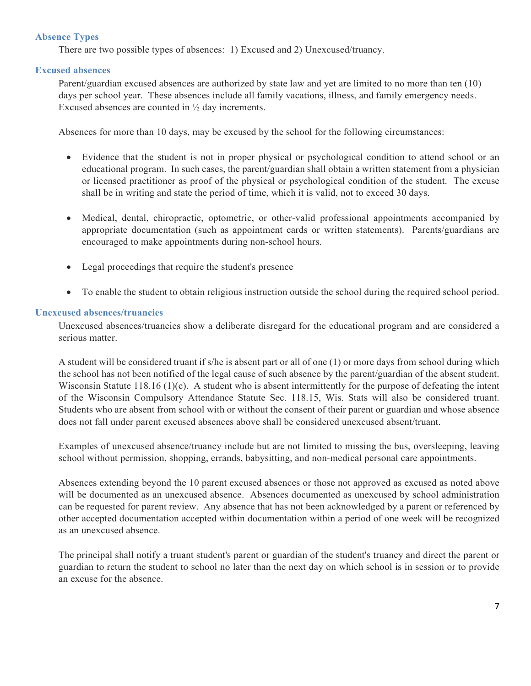# **Absence Types**

There are two possible types of absences: 1) Excused and 2) Unexcused/truancy.

## **Excused absences**

Parent/guardian excused absences are authorized by state law and yet are limited to no more than ten (10) days per school year. These absences include all family vacations, illness, and family emergency needs. Excused absences are counted in ½ day increments.

Absences for more than 10 days, may be excused by the school for the following circumstances:

- Evidence that the student is not in proper physical or psychological condition to attend school or an educational program. In such cases, the parent/guardian shall obtain a written statement from a physician or licensed practitioner as proof of the physical or psychological condition of the student. The excuse shall be in writing and state the period of time, which it is valid, not to exceed 30 days.
- Medical, dental, chiropractic, optometric, or other-valid professional appointments accompanied by appropriate documentation (such as appointment cards or written statements). Parents/guardians are encouraged to make appointments during non-school hours.
- Legal proceedings that require the student's presence
- To enable the student to obtain religious instruction outside the school during the required school period.

## **Unexcused absences/truancies**

Unexcused absences/truancies show a deliberate disregard for the educational program and are considered a serious matter.

A student will be considered truant if s/he is absent part or all of one (1) or more days from school during which the school has not been notified of the legal cause of such absence by the parent/guardian of the absent student. Wisconsin Statute 118.16 (1)(c). A student who is absent intermittently for the purpose of defeating the intent of the Wisconsin Compulsory Attendance Statute Sec. 118.15, Wis. Stats will also be considered truant. Students who are absent from school with or without the consent of their parent or guardian and whose absence does not fall under parent excused absences above shall be considered unexcused absent/truant.

Examples of unexcused absence/truancy include but are not limited to missing the bus, oversleeping, leaving school without permission, shopping, errands, babysitting, and non-medical personal care appointments.

Absences extending beyond the 10 parent excused absences or those not approved as excused as noted above will be documented as an unexcused absence. Absences documented as unexcused by school administration can be requested for parent review. Any absence that has not been acknowledged by a parent or referenced by other accepted documentation accepted within documentation within a period of one week will be recognized as an unexcused absence.

The principal shall notify a truant student's parent or guardian of the student's truancy and direct the parent or guardian to return the student to school no later than the next day on which school is in session or to provide an excuse for the absence.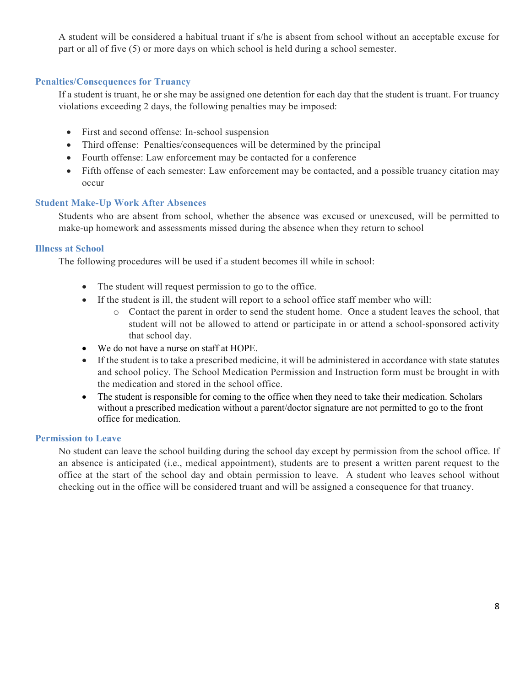A student will be considered a habitual truant if s/he is absent from school without an acceptable excuse for part or all of five (5) or more days on which school is held during a school semester.

## **Penalties/Consequences for Truancy**

If a student is truant, he or she may be assigned one detention for each day that the student is truant. For truancy violations exceeding 2 days, the following penalties may be imposed:

- First and second offense: In-school suspension
- Third offense: Penalties/consequences will be determined by the principal
- Fourth offense: Law enforcement may be contacted for a conference
- Fifth offense of each semester: Law enforcement may be contacted, and a possible truancy citation may occur

#### **Student Make-Up Work After Absences**

Students who are absent from school, whether the absence was excused or unexcused, will be permitted to make-up homework and assessments missed during the absence when they return to school

#### **Illness at School**

The following procedures will be used if a student becomes ill while in school:

- The student will request permission to go to the office.
- If the student is ill, the student will report to a school office staff member who will:
	- o Contact the parent in order to send the student home. Once a student leaves the school, that student will not be allowed to attend or participate in or attend a school-sponsored activity that school day.
- We do not have a nurse on staff at HOPE.
- If the student is to take a prescribed medicine, it will be administered in accordance with state statutes and school policy. The School Medication Permission and Instruction form must be brought in with the medication and stored in the school office.
- The student is responsible for coming to the office when they need to take their medication. Scholars without a prescribed medication without a parent/doctor signature are not permitted to go to the front office for medication.

#### **Permission to Leave**

No student can leave the school building during the school day except by permission from the school office. If an absence is anticipated (i.e., medical appointment), students are to present a written parent request to the office at the start of the school day and obtain permission to leave. A student who leaves school without checking out in the office will be considered truant and will be assigned a consequence for that truancy.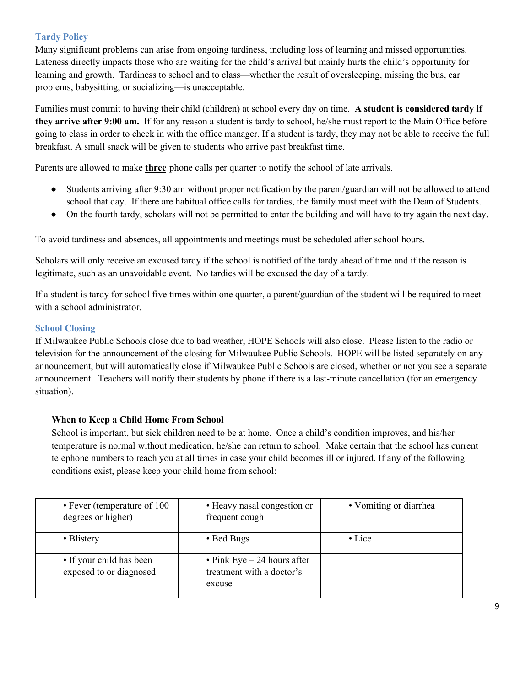# **Tardy Policy**

Many significant problems can arise from ongoing tardiness, including loss of learning and missed opportunities. Lateness directly impacts those who are waiting for the child's arrival but mainly hurts the child's opportunity for learning and growth. Tardiness to school and to class—whether the result of oversleeping, missing the bus, car problems, babysitting, or socializing—is unacceptable.

Families must commit to having their child (children) at school every day on time. **A student is considered tardy if they arrive after 9:00 am.** If for any reason a student is tardy to school, he/she must report to the Main Office before going to class in order to check in with the office manager. If a student is tardy, they may not be able to receive the full breakfast. A small snack will be given to students who arrive past breakfast time.

Parents are allowed to make **three** phone calls per quarter to notify the school of late arrivals.

- Students arriving after 9:30 am without proper notification by the parent/guardian will not be allowed to attend school that day. If there are habitual office calls for tardies, the family must meet with the Dean of Students.
- On the fourth tardy, scholars will not be permitted to enter the building and will have to try again the next day.

To avoid tardiness and absences, all appointments and meetings must be scheduled after school hours.

Scholars will only receive an excused tardy if the school is notified of the tardy ahead of time and if the reason is legitimate, such as an unavoidable event. No tardies will be excused the day of a tardy.

If a student is tardy for school five times within one quarter, a parent/guardian of the student will be required to meet with a school administrator.

# **School Closing**

If Milwaukee Public Schools close due to bad weather, HOPE Schools will also close. Please listen to the radio or television for the announcement of the closing for Milwaukee Public Schools. HOPE will be listed separately on any announcement, but will automatically close if Milwaukee Public Schools are closed, whether or not you see a separate announcement. Teachers will notify their students by phone if there is a last-minute cancellation (for an emergency situation).

# **When to Keep a Child Home From School**

School is important, but sick children need to be at home. Once a child's condition improves, and his/her temperature is normal without medication, he/she can return to school. Make certain that the school has current telephone numbers to reach you at all times in case your child becomes ill or injured. If any of the following conditions exist, please keep your child home from school:

| • Fever (temperature of 100<br>degrees or higher)   | • Heavy nasal congestion or<br>frequent cough                       | • Vomiting or diarrhea |
|-----------------------------------------------------|---------------------------------------------------------------------|------------------------|
| • Blistery                                          | • Bed Bugs                                                          | $\cdot$ Lice           |
| • If your child has been<br>exposed to or diagnosed | • Pink Eye $-24$ hours after<br>treatment with a doctor's<br>excuse |                        |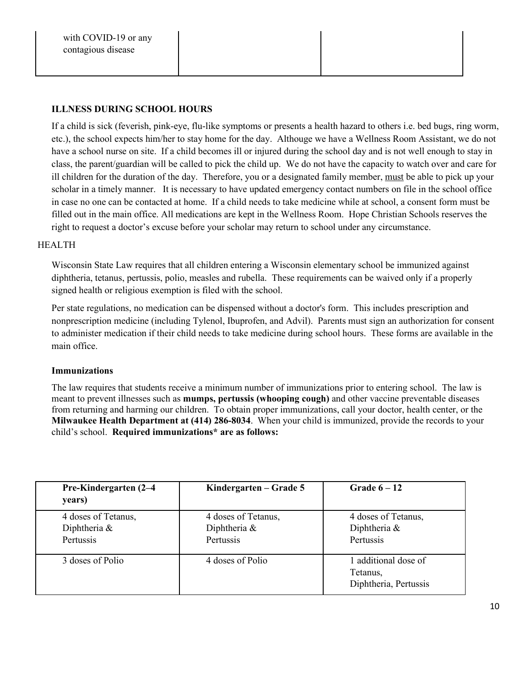## **ILLNESS DURING SCHOOL HOURS**

If a child is sick (feverish, pink-eye, flu-like symptoms or presents a health hazard to others i.e. bed bugs, ring worm, etc.), the school expects him/her to stay home for the day. Althouge we have a Wellness Room Assistant, we do not have a school nurse on site. If a child becomes ill or injured during the school day and is not well enough to stay in class, the parent/guardian will be called to pick the child up. We do not have the capacity to watch over and care for ill children for the duration of the day. Therefore, you or a designated family member, must be able to pick up your scholar in a timely manner. It is necessary to have updated emergency contact numbers on file in the school office in case no one can be contacted at home. If a child needs to take medicine while at school, a consent form must be filled out in the main office. All medications are kept in the Wellness Room. Hope Christian Schools reserves the right to request a doctor's excuse before your scholar may return to school under any circumstance.

#### HEALTH

Wisconsin State Law requires that all children entering a Wisconsin elementary school be immunized against diphtheria, tetanus, pertussis, polio, measles and rubella. These requirements can be waived only if a properly signed health or religious exemption is filed with the school.

Per state regulations, no medication can be dispensed without a doctor's form. This includes prescription and nonprescription medicine (including Tylenol, Ibuprofen, and Advil). Parents must sign an authorization for consent to administer medication if their child needs to take medicine during school hours. These forms are available in the main office.

#### **Immunizations**

The law requires that students receive a minimum number of immunizations prior to entering school. The law is meant to prevent illnesses such as **mumps, pertussis (whooping cough)** and other vaccine preventable diseases from returning and harming our children. To obtain proper immunizations, call your doctor, health center, or the **Milwaukee Health Department at (414) 286-8034**. When your child is immunized, provide the records to your child's school. **Required immunizations\* are as follows:**

| Pre-Kindergarten (2–4<br>years)                  | Kindergarten – Grade 5                           | Grade $6-12$                                              |
|--------------------------------------------------|--------------------------------------------------|-----------------------------------------------------------|
| 4 doses of Tetanus,<br>Diphtheria &<br>Pertussis | 4 doses of Tetanus,<br>Diphtheria &<br>Pertussis | 4 doses of Tetanus,<br>Diphtheria &<br>Pertussis          |
| 3 doses of Polio                                 | 4 doses of Polio                                 | 1 additional dose of<br>Tetanus,<br>Diphtheria, Pertussis |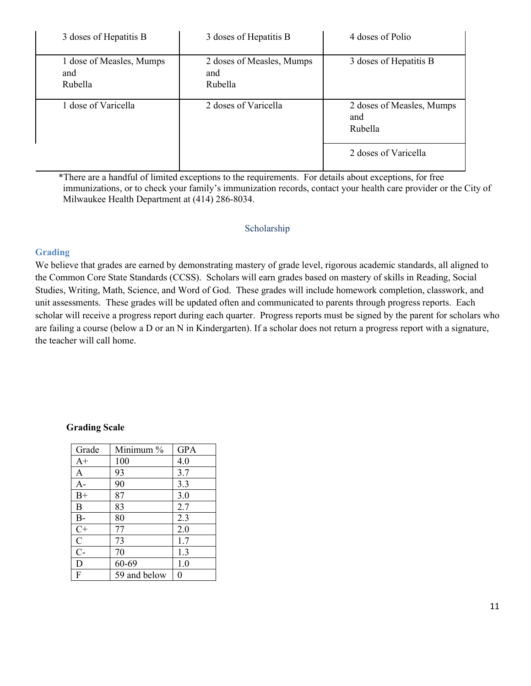| 3 doses of Hepatitis B                     | 3 doses of Hepatitis B                      | 4 doses of Polio                            |
|--------------------------------------------|---------------------------------------------|---------------------------------------------|
| 1 dose of Measles, Mumps<br>and<br>Rubella | 2 doses of Measles, Mumps<br>and<br>Rubella | 3 doses of Hepatitis B                      |
| 1 dose of Varicella                        | 2 doses of Varicella                        | 2 doses of Measles, Mumps<br>and<br>Rubella |
|                                            |                                             | 2 doses of Varicella                        |

\*There are a handful of limited exceptions to the requirements. For details about exceptions, for free immunizations, or to check your family's immunization records, contact your health care provider or the City of Milwaukee Health Department at (414) 286-8034.

## Scholarship

## **Grading**

We believe that grades are earned by demonstrating mastery of grade level, rigorous academic standards, all aligned to the Common Core State Standards (CCSS). Scholars will earn grades based on mastery of skills in Reading, Social Studies, Writing, Math, Science, and Word of God. These grades will include homework completion, classwork, and unit assessments. These grades will be updated often and communicated to parents through progress reports. Each scholar will receive a progress report during each quarter. Progress reports must be signed by the parent for scholars who are failing a course (below a D or an N in Kindergarten). If a scholar does not return a progress report with a signature, the teacher will call home.

#### **Grading Scale**

| Grade          | Minimum %    | <b>GPA</b> |
|----------------|--------------|------------|
| $A+$           | 100          | 4.0        |
| A              | 93           | 3.7        |
| $A-$           | 90           | 3.3        |
| $B+$           | 87           | 3.0        |
| B              | 83           | 2.7        |
| $B-$           | 80           | 2.3        |
| $C+$           | 77           | 2.0        |
| $\mathbf C$    | 73           | 1.7        |
| $\overline{C}$ | 70           | 1.3        |
| D              | 60-69        | 1.0        |
| F              | 59 and below | 0          |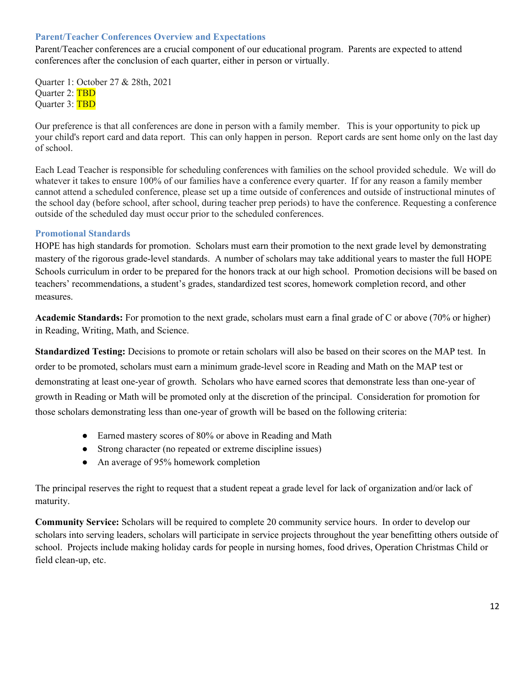#### **Parent/Teacher Conferences Overview and Expectations**

Parent/Teacher conferences are a crucial component of our educational program. Parents are expected to attend conferences after the conclusion of each quarter, either in person or virtually.

Quarter 1: October 27 & 28th, 2021 Ouarter 2: TBD Quarter 3: TBD

Our preference is that all conferences are done in person with a family member. This is your opportunity to pick up your child's report card and data report. This can only happen in person. Report cards are sent home only on the last day of school.

Each Lead Teacher is responsible for scheduling conferences with families on the school provided schedule. We will do whatever it takes to ensure 100% of our families have a conference every quarter. If for any reason a family member cannot attend a scheduled conference, please set up a time outside of conferences and outside of instructional minutes of the school day (before school, after school, during teacher prep periods) to have the conference. Requesting a conference outside of the scheduled day must occur prior to the scheduled conferences.

#### **Promotional Standards**

HOPE has high standards for promotion. Scholars must earn their promotion to the next grade level by demonstrating mastery of the rigorous grade-level standards. A number of scholars may take additional years to master the full HOPE Schools curriculum in order to be prepared for the honors track at our high school. Promotion decisions will be based on teachers' recommendations, a student's grades, standardized test scores, homework completion record, and other measures.

**Academic Standards:** For promotion to the next grade, scholars must earn a final grade of C or above (70% or higher) in Reading, Writing, Math, and Science.

**Standardized Testing:** Decisions to promote or retain scholars will also be based on their scores on the MAP test. In order to be promoted, scholars must earn a minimum grade-level score in Reading and Math on the MAP test or demonstrating at least one-year of growth. Scholars who have earned scores that demonstrate less than one-year of growth in Reading or Math will be promoted only at the discretion of the principal. Consideration for promotion for those scholars demonstrating less than one-year of growth will be based on the following criteria:

- Earned mastery scores of 80% or above in Reading and Math
- Strong character (no repeated or extreme discipline issues)
- An average of 95% homework completion

The principal reserves the right to request that a student repeat a grade level for lack of organization and/or lack of maturity.

**Community Service:** Scholars will be required to complete 20 community service hours. In order to develop our scholars into serving leaders, scholars will participate in service projects throughout the year benefitting others outside of school. Projects include making holiday cards for people in nursing homes, food drives, Operation Christmas Child or field clean-up, etc.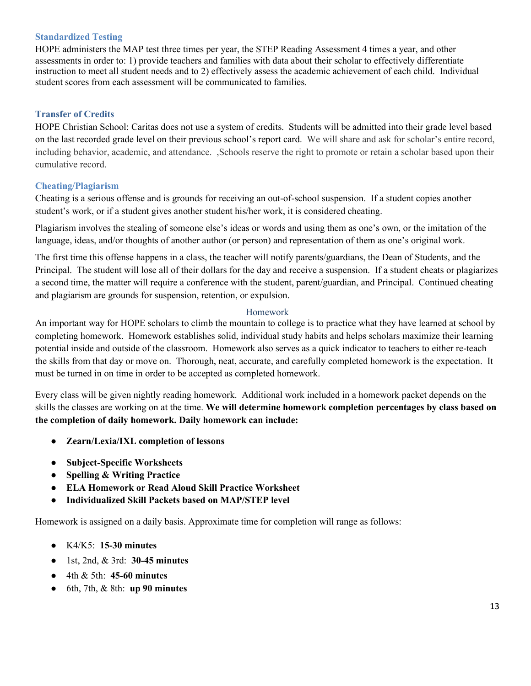#### **Standardized Testing**

HOPE administers the MAP test three times per year, the STEP Reading Assessment 4 times a year, and other assessments in order to: 1) provide teachers and families with data about their scholar to effectively differentiate instruction to meet all student needs and to 2) effectively assess the academic achievement of each child. Individual student scores from each assessment will be communicated to families.

# **Transfer of Credits**

HOPE Christian School: Caritas does not use a system of credits. Students will be admitted into their grade level based on the last recorded grade level on their previous school's report card. We will share and ask for scholar's entire record, including behavior, academic, and attendance. ,Schools reserve the right to promote or retain a scholar based upon their cumulative record.

## **Cheating/Plagiarism**

Cheating is a serious offense and is grounds for receiving an out-of-school suspension. If a student copies another student's work, or if a student gives another student his/her work, it is considered cheating.

Plagiarism involves the stealing of someone else's ideas or words and using them as one's own, or the imitation of the language, ideas, and/or thoughts of another author (or person) and representation of them as one's original work.

The first time this offense happens in a class, the teacher will notify parents/guardians, the Dean of Students, and the Principal. The student will lose all of their dollars for the day and receive a suspension. If a student cheats or plagiarizes a second time, the matter will require a conference with the student, parent/guardian, and Principal. Continued cheating and plagiarism are grounds for suspension, retention, or expulsion.

#### Homework

An important way for HOPE scholars to climb the mountain to college is to practice what they have learned at school by completing homework. Homework establishes solid, individual study habits and helps scholars maximize their learning potential inside and outside of the classroom. Homework also serves as a quick indicator to teachers to either re-teach the skills from that day or move on. Thorough, neat, accurate, and carefully completed homework is the expectation. It must be turned in on time in order to be accepted as completed homework.

Every class will be given nightly reading homework. Additional work included in a homework packet depends on the skills the classes are working on at the time. **We will determine homework completion percentages by class based on the completion of daily homework. Daily homework can include:**

- **Zearn/Lexia/IXL completion of lessons**
- **Subject-Specific Worksheets**
- **Spelling & Writing Practice**
- **ELA Homework or Read Aloud Skill Practice Worksheet**
- **Individualized Skill Packets based on MAP/STEP level**

Homework is assigned on a daily basis. Approximate time for completion will range as follows:

- K4/K5: **15-30 minutes**
- 1st, 2nd, & 3rd: **30-45 minutes**
- 4th & 5th: **45-60 minutes**
- 6th, 7th, & 8th: **up 90 minutes**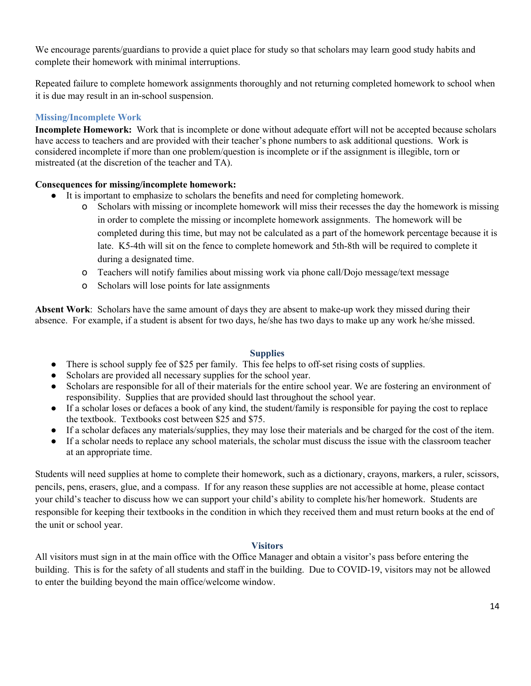We encourage parents/guardians to provide a quiet place for study so that scholars may learn good study habits and complete their homework with minimal interruptions.

Repeated failure to complete homework assignments thoroughly and not returning completed homework to school when it is due may result in an in-school suspension.

# **Missing/Incomplete Work**

**Incomplete Homework:** Work that is incomplete or done without adequate effort will not be accepted because scholars have access to teachers and are provided with their teacher's phone numbers to ask additional questions. Work is considered incomplete if more than one problem/question is incomplete or if the assignment is illegible, torn or mistreated (at the discretion of the teacher and TA).

# **Consequences for missing/incomplete homework:**

- It is important to emphasize to scholars the benefits and need for completing homework.
	- o Scholars with missing or incomplete homework will miss their recesses the day the homework is missing in order to complete the missing or incomplete homework assignments. The homework will be completed during this time, but may not be calculated as a part of the homework percentage because it is late. K5-4th will sit on the fence to complete homework and 5th-8th will be required to complete it during a designated time.
	- o Teachers will notify families about missing work via phone call/Dojo message/text message
	- o Scholars will lose points for late assignments

**Absent Work**: Scholars have the same amount of days they are absent to make-up work they missed during their absence. For example, if a student is absent for two days, he/she has two days to make up any work he/she missed.

# **Supplies**

- There is school supply fee of \$25 per family. This fee helps to off-set rising costs of supplies.
- Scholars are provided all necessary supplies for the school year.
- Scholars are responsible for all of their materials for the entire school year. We are fostering an environment of responsibility. Supplies that are provided should last throughout the school year.
- If a scholar loses or defaces a book of any kind, the student/family is responsible for paying the cost to replace the textbook. Textbooks cost between \$25 and \$75.
- If a scholar defaces any materials/supplies, they may lose their materials and be charged for the cost of the item.
- If a scholar needs to replace any school materials, the scholar must discuss the issue with the classroom teacher at an appropriate time.

Students will need supplies at home to complete their homework, such as a dictionary, crayons, markers, a ruler, scissors, pencils, pens, erasers, glue, and a compass. If for any reason these supplies are not accessible at home, please contact your child's teacher to discuss how we can support your child's ability to complete his/her homework. Students are responsible for keeping their textbooks in the condition in which they received them and must return books at the end of the unit or school year.

# **Visitors**

All visitors must sign in at the main office with the Office Manager and obtain a visitor's pass before entering the building. This is for the safety of all students and staff in the building. Due to COVID-19, visitors may not be allowed to enter the building beyond the main office/welcome window.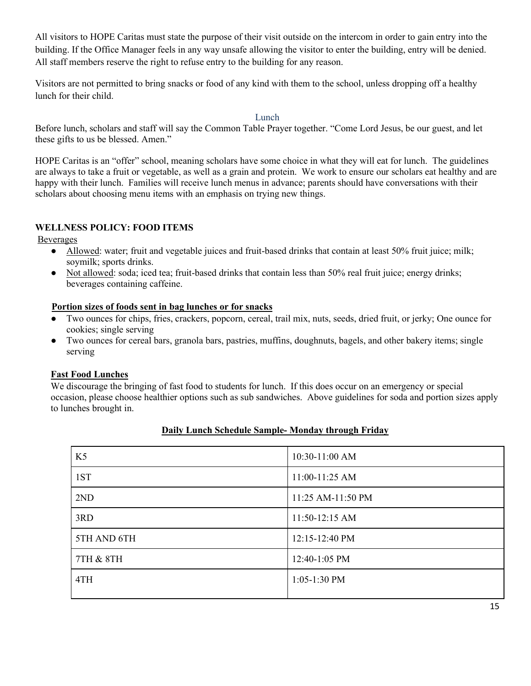All visitors to HOPE Caritas must state the purpose of their visit outside on the intercom in order to gain entry into the building. If the Office Manager feels in any way unsafe allowing the visitor to enter the building, entry will be denied. All staff members reserve the right to refuse entry to the building for any reason.

Visitors are not permitted to bring snacks or food of any kind with them to the school, unless dropping off a healthy lunch for their child.

Lunch

Before lunch, scholars and staff will say the Common Table Prayer together. "Come Lord Jesus, be our guest, and let these gifts to us be blessed. Amen."

HOPE Caritas is an "offer" school, meaning scholars have some choice in what they will eat for lunch. The guidelines are always to take a fruit or vegetable, as well as a grain and protein. We work to ensure our scholars eat healthy and are happy with their lunch. Families will receive lunch menus in advance; parents should have conversations with their scholars about choosing menu items with an emphasis on trying new things.

# **WELLNESS POLICY: FOOD ITEMS**

Beverages

- Allowed: water; fruit and vegetable juices and fruit-based drinks that contain at least 50% fruit juice; milk; soymilk; sports drinks.
- Not allowed: soda; iced tea; fruit-based drinks that contain less than 50% real fruit juice; energy drinks; beverages containing caffeine.

#### **Portion sizes of foods sent in bag lunches or for snacks**

- Two ounces for chips, fries, crackers, popcorn, cereal, trail mix, nuts, seeds, dried fruit, or jerky; One ounce for cookies; single serving
- Two ounces for cereal bars, granola bars, pastries, muffins, doughnuts, bagels, and other bakery items; single serving

# **Fast Food Lunches**

We discourage the bringing of fast food to students for lunch. If this does occur on an emergency or special occasion, please choose healthier options such as sub sandwiches. Above guidelines for soda and portion sizes apply to lunches brought in.

| K <sub>5</sub> | 10:30-11:00 AM    |
|----------------|-------------------|
| 1ST            | 11:00-11:25 AM    |
| 2ND            | 11:25 AM-11:50 PM |
| 3RD            | 11:50-12:15 AM    |
| 5TH AND 6TH    | 12:15-12:40 PM    |
| 7TH & 8TH      | 12:40-1:05 PM     |
| 4TH            | $1:05-1:30$ PM    |
|                |                   |

# **Daily Lunch Schedule Sample- Monday through Friday**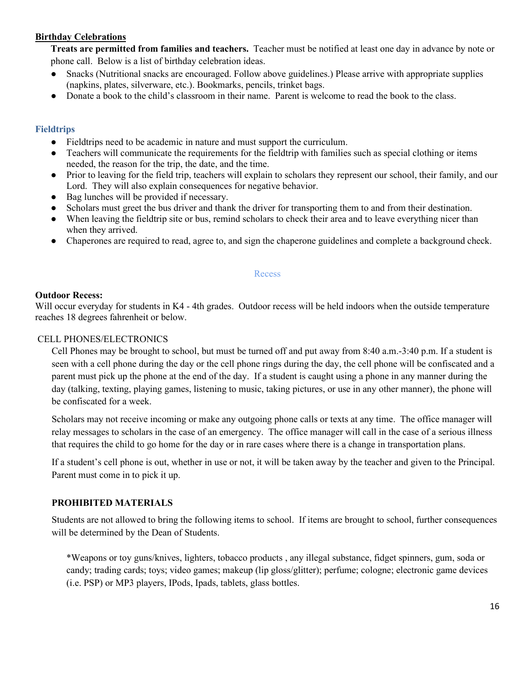#### **Birthday Celebrations**

**Treats are permitted from families and teachers.** Teacher must be notified at least one day in advance by note or phone call. Below is a list of birthday celebration ideas.

- Snacks (Nutritional snacks are encouraged. Follow above guidelines.) Please arrive with appropriate supplies (napkins, plates, silverware, etc.). Bookmarks, pencils, trinket bags.
- Donate a book to the child's classroom in their name. Parent is welcome to read the book to the class.

## **Fieldtrips**

- Fieldtrips need to be academic in nature and must support the curriculum.
- Teachers will communicate the requirements for the fieldtrip with families such as special clothing or items needed, the reason for the trip, the date, and the time.
- Prior to leaving for the field trip, teachers will explain to scholars they represent our school, their family, and our Lord. They will also explain consequences for negative behavior.
- Bag lunches will be provided if necessary.
- Scholars must greet the bus driver and thank the driver for transporting them to and from their destination.
- When leaving the fieldtrip site or bus, remind scholars to check their area and to leave everything nicer than when they arrived.
- Chaperones are required to read, agree to, and sign the chaperone guidelines and complete a background check.

#### Recess

#### **Outdoor Recess:**

Will occur everyday for students in K4 - 4th grades. Outdoor recess will be held indoors when the outside temperature reaches 18 degrees fahrenheit or below.

## CELL PHONES/ELECTRONICS

Cell Phones may be brought to school, but must be turned off and put away from 8:40 a.m.-3:40 p.m. If a student is seen with a cell phone during the day or the cell phone rings during the day, the cell phone will be confiscated and a parent must pick up the phone at the end of the day. If a student is caught using a phone in any manner during the day (talking, texting, playing games, listening to music, taking pictures, or use in any other manner), the phone will be confiscated for a week.

Scholars may not receive incoming or make any outgoing phone calls or texts at any time. The office manager will relay messages to scholars in the case of an emergency. The office manager will call in the case of a serious illness that requires the child to go home for the day or in rare cases where there is a change in transportation plans.

If a student's cell phone is out, whether in use or not, it will be taken away by the teacher and given to the Principal. Parent must come in to pick it up.

# **PROHIBITED MATERIALS**

Students are not allowed to bring the following items to school. If items are brought to school, further consequences will be determined by the Dean of Students.

\*Weapons or toy guns/knives, lighters, tobacco products , any illegal substance, fidget spinners, gum, soda or candy; trading cards; toys; video games; makeup (lip gloss/glitter); perfume; cologne; electronic game devices (i.e. PSP) or MP3 players, IPods, Ipads, tablets, glass bottles.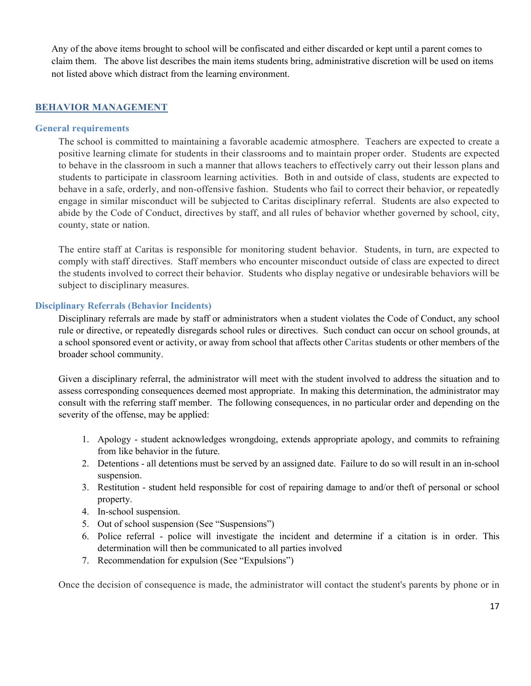Any of the above items brought to school will be confiscated and either discarded or kept until a parent comes to claim them. The above list describes the main items students bring, administrative discretion will be used on items not listed above which distract from the learning environment.

## **BEHAVIOR MANAGEMENT**

#### **General requirements**

The school is committed to maintaining a favorable academic atmosphere. Teachers are expected to create a positive learning climate for students in their classrooms and to maintain proper order. Students are expected to behave in the classroom in such a manner that allows teachers to effectively carry out their lesson plans and students to participate in classroom learning activities. Both in and outside of class, students are expected to behave in a safe, orderly, and non-offensive fashion. Students who fail to correct their behavior, or repeatedly engage in similar misconduct will be subjected to Caritas disciplinary referral. Students are also expected to abide by the Code of Conduct, directives by staff, and all rules of behavior whether governed by school, city, county, state or nation.

The entire staff at Caritas is responsible for monitoring student behavior. Students, in turn, are expected to comply with staff directives. Staff members who encounter misconduct outside of class are expected to direct the students involved to correct their behavior. Students who display negative or undesirable behaviors will be subject to disciplinary measures.

## **Disciplinary Referrals (Behavior Incidents)**

Disciplinary referrals are made by staff or administrators when a student violates the Code of Conduct, any school rule or directive, or repeatedly disregards school rules or directives. Such conduct can occur on school grounds, at a school sponsored event or activity, or away from school that affects other Caritas students or other members of the broader school community.

Given a disciplinary referral, the administrator will meet with the student involved to address the situation and to assess corresponding consequences deemed most appropriate. In making this determination, the administrator may consult with the referring staff member. The following consequences, in no particular order and depending on the severity of the offense, may be applied:

- 1. Apology student acknowledges wrongdoing, extends appropriate apology, and commits to refraining from like behavior in the future.
- 2. Detentions all detentions must be served by an assigned date. Failure to do so will result in an in-school suspension.
- 3. Restitution student held responsible for cost of repairing damage to and/or theft of personal or school property.
- 4. In-school suspension.
- 5. Out of school suspension (See "Suspensions")
- 6. Police referral police will investigate the incident and determine if a citation is in order. This determination will then be communicated to all parties involved
- 7. Recommendation for expulsion (See "Expulsions")

Once the decision of consequence is made, the administrator will contact the student's parents by phone or in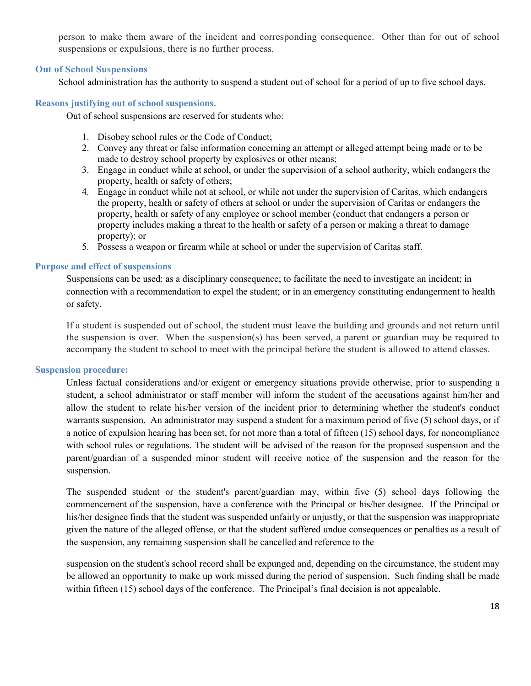person to make them aware of the incident and corresponding consequence. Other than for out of school suspensions or expulsions, there is no further process.

#### **Out of School Suspensions**

School administration has the authority to suspend a student out of school for a period of up to five school days.

#### **Reasons justifying out of school suspensions.**

Out of school suspensions are reserved for students who:

- 1. Disobey school rules or the Code of Conduct;
- 2. Convey any threat or false information concerning an attempt or alleged attempt being made or to be made to destroy school property by explosives or other means;
- 3. Engage in conduct while at school, or under the supervision of a school authority, which endangers the property, health or safety of others;
- 4. Engage in conduct while not at school, or while not under the supervision of Caritas, which endangers the property, health or safety of others at school or under the supervision of Caritas or endangers the property, health or safety of any employee or school member (conduct that endangers a person or property includes making a threat to the health or safety of a person or making a threat to damage property); or
- 5. Possess a weapon or firearm while at school or under the supervision of Caritas staff.

#### **Purpose and effect of suspensions**

Suspensions can be used: as a disciplinary consequence; to facilitate the need to investigate an incident; in connection with a recommendation to expel the student; or in an emergency constituting endangerment to health or safety.

If a student is suspended out of school, the student must leave the building and grounds and not return until the suspension is over. When the suspension(s) has been served, a parent or guardian may be required to accompany the student to school to meet with the principal before the student is allowed to attend classes.

#### **Suspension procedure:**

Unless factual considerations and/or exigent or emergency situations provide otherwise, prior to suspending a student, a school administrator or staff member will inform the student of the accusations against him/her and allow the student to relate his/her version of the incident prior to determining whether the student's conduct warrants suspension. An administrator may suspend a student for a maximum period of five (5) school days, or if a notice of expulsion hearing has been set, for not more than a total of fifteen (15) school days, for noncompliance with school rules or regulations. The student will be advised of the reason for the proposed suspension and the parent/guardian of a suspended minor student will receive notice of the suspension and the reason for the suspension.

The suspended student or the student's parent/guardian may, within five (5) school days following the commencement of the suspension, have a conference with the Principal or his/her designee. If the Principal or his/her designee finds that the student was suspended unfairly or unjustly, or that the suspension was inappropriate given the nature of the alleged offense, or that the student suffered undue consequences or penalties as a result of the suspension, any remaining suspension shall be cancelled and reference to the

suspension on the student's school record shall be expunged and, depending on the circumstance, the student may be allowed an opportunity to make up work missed during the period of suspension. Such finding shall be made within fifteen (15) school days of the conference. The Principal's final decision is not appealable.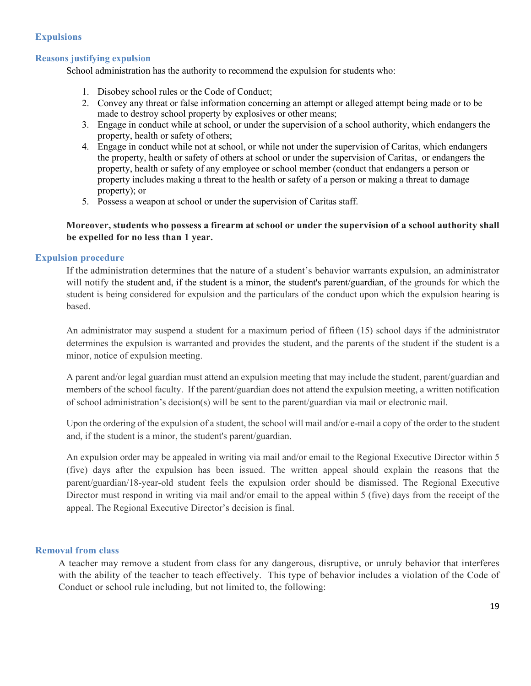## **Expulsions**

## **Reasons justifying expulsion**

School administration has the authority to recommend the expulsion for students who:

- 1. Disobey school rules or the Code of Conduct;
- 2. Convey any threat or false information concerning an attempt or alleged attempt being made or to be made to destroy school property by explosives or other means;
- 3. Engage in conduct while at school, or under the supervision of a school authority, which endangers the property, health or safety of others;
- 4. Engage in conduct while not at school, or while not under the supervision of Caritas, which endangers the property, health or safety of others at school or under the supervision of Caritas, or endangers the property, health or safety of any employee or school member (conduct that endangers a person or property includes making a threat to the health or safety of a person or making a threat to damage property); or
- 5. Possess a weapon at school or under the supervision of Caritas staff.

## **Moreover, students who possess a firearm at school or under the supervision of a school authority shall be expelled for no less than 1 year.**

#### **Expulsion procedure**

If the administration determines that the nature of a student's behavior warrants expulsion, an administrator will notify the student and, if the student is a minor, the student's parent/guardian, of the grounds for which the student is being considered for expulsion and the particulars of the conduct upon which the expulsion hearing is based.

An administrator may suspend a student for a maximum period of fifteen (15) school days if the administrator determines the expulsion is warranted and provides the student, and the parents of the student if the student is a minor, notice of expulsion meeting.

A parent and/or legal guardian must attend an expulsion meeting that may include the student, parent/guardian and members of the school faculty. If the parent/guardian does not attend the expulsion meeting, a written notification of school administration's decision(s) will be sent to the parent/guardian via mail or electronic mail.

Upon the ordering of the expulsion of a student, the school will mail and/or e-mail a copy of the order to the student and, if the student is a minor, the student's parent/guardian.

An expulsion order may be appealed in writing via mail and/or email to the Regional Executive Director within 5 (five) days after the expulsion has been issued. The written appeal should explain the reasons that the parent/guardian/18-year-old student feels the expulsion order should be dismissed. The Regional Executive Director must respond in writing via mail and/or email to the appeal within 5 (five) days from the receipt of the appeal. The Regional Executive Director's decision is final.

#### **Removal from class**

A teacher may remove a student from class for any dangerous, disruptive, or unruly behavior that interferes with the ability of the teacher to teach effectively. This type of behavior includes a violation of the Code of Conduct or school rule including, but not limited to, the following: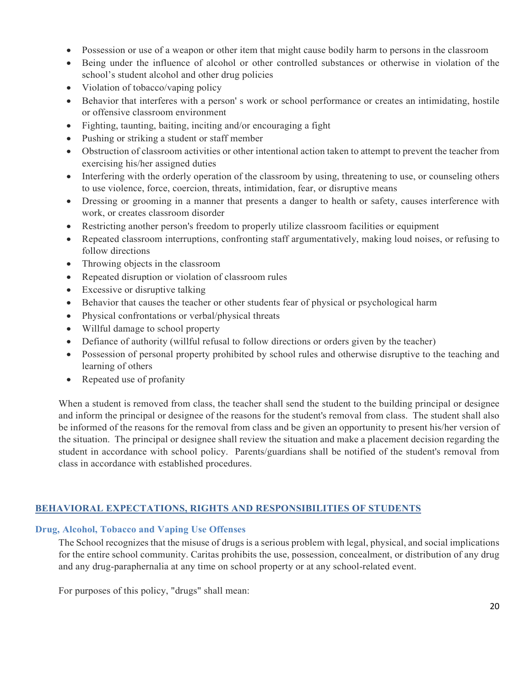- Possession or use of a weapon or other item that might cause bodily harm to persons in the classroom
- Being under the influence of alcohol or other controlled substances or otherwise in violation of the school's student alcohol and other drug policies
- Violation of tobacco/vaping policy
- Behavior that interferes with a person' s work or school performance or creates an intimidating, hostile or offensive classroom environment
- Fighting, taunting, baiting, inciting and/or encouraging a fight
- Pushing or striking a student or staff member
- Obstruction of classroom activities or other intentional action taken to attempt to prevent the teacher from exercising his/her assigned duties
- Interfering with the orderly operation of the classroom by using, threatening to use, or counseling others to use violence, force, coercion, threats, intimidation, fear, or disruptive means
- Dressing or grooming in a manner that presents a danger to health or safety, causes interference with work, or creates classroom disorder
- Restricting another person's freedom to properly utilize classroom facilities or equipment
- Repeated classroom interruptions, confronting staff argumentatively, making loud noises, or refusing to follow directions
- Throwing objects in the classroom
- Repeated disruption or violation of classroom rules
- Excessive or disruptive talking
- Behavior that causes the teacher or other students fear of physical or psychological harm
- Physical confrontations or verbal/physical threats
- Willful damage to school property
- Defiance of authority (willful refusal to follow directions or orders given by the teacher)
- Possession of personal property prohibited by school rules and otherwise disruptive to the teaching and learning of others
- Repeated use of profanity

When a student is removed from class, the teacher shall send the student to the building principal or designee and inform the principal or designee of the reasons for the student's removal from class. The student shall also be informed of the reasons for the removal from class and be given an opportunity to present his/her version of the situation. The principal or designee shall review the situation and make a placement decision regarding the student in accordance with school policy. Parents/guardians shall be notified of the student's removal from class in accordance with established procedures.

# **BEHAVIORAL EXPECTATIONS, RIGHTS AND RESPONSIBILITIES OF STUDENTS**

#### **Drug, Alcohol, Tobacco and Vaping Use Offenses**

The School recognizes that the misuse of drugs is a serious problem with legal, physical, and social implications for the entire school community. Caritas prohibits the use, possession, concealment, or distribution of any drug and any drug-paraphernalia at any time on school property or at any school-related event.

For purposes of this policy, "drugs" shall mean: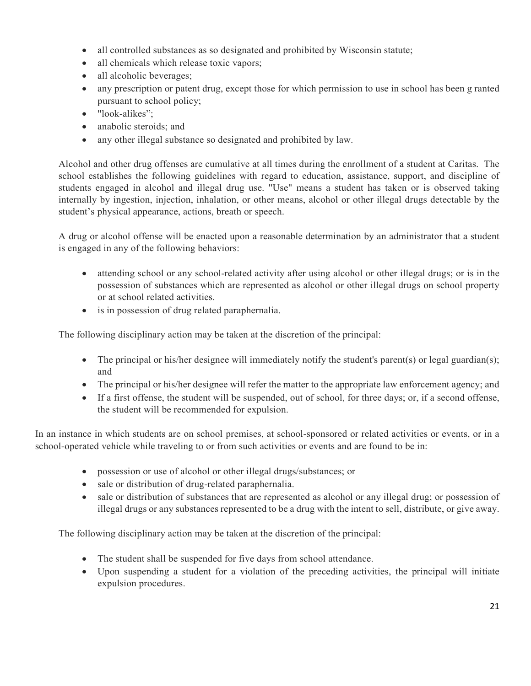- all controlled substances as so designated and prohibited by Wisconsin statute;
- all chemicals which release toxic vapors;
- all alcoholic beverages;
- any prescription or patent drug, except those for which permission to use in school has been g ranted pursuant to school policy;
- "look-alikes";
- anabolic steroids; and
- any other illegal substance so designated and prohibited by law.

Alcohol and other drug offenses are cumulative at all times during the enrollment of a student at Caritas. The school establishes the following guidelines with regard to education, assistance, support, and discipline of students engaged in alcohol and illegal drug use. "Use" means a student has taken or is observed taking internally by ingestion, injection, inhalation, or other means, alcohol or other illegal drugs detectable by the student's physical appearance, actions, breath or speech.

A drug or alcohol offense will be enacted upon a reasonable determination by an administrator that a student is engaged in any of the following behaviors:

- attending school or any school-related activity after using alcohol or other illegal drugs; or is in the possession of substances which are represented as alcohol or other illegal drugs on school property or at school related activities.
- is in possession of drug related paraphernalia.

The following disciplinary action may be taken at the discretion of the principal:

- The principal or his/her designee will immediately notify the student's parent(s) or legal guardian(s); and
- The principal or his/her designee will refer the matter to the appropriate law enforcement agency; and
- If a first offense, the student will be suspended, out of school, for three days; or, if a second offense, the student will be recommended for expulsion.

In an instance in which students are on school premises, at school-sponsored or related activities or events, or in a school-operated vehicle while traveling to or from such activities or events and are found to be in:

- possession or use of alcohol or other illegal drugs/substances; or
- sale or distribution of drug-related paraphernalia.
- sale or distribution of substances that are represented as alcohol or any illegal drug; or possession of illegal drugs or any substances represented to be a drug with the intent to sell, distribute, or give away.

The following disciplinary action may be taken at the discretion of the principal:

- The student shall be suspended for five days from school attendance.
- Upon suspending a student for a violation of the preceding activities, the principal will initiate expulsion procedures.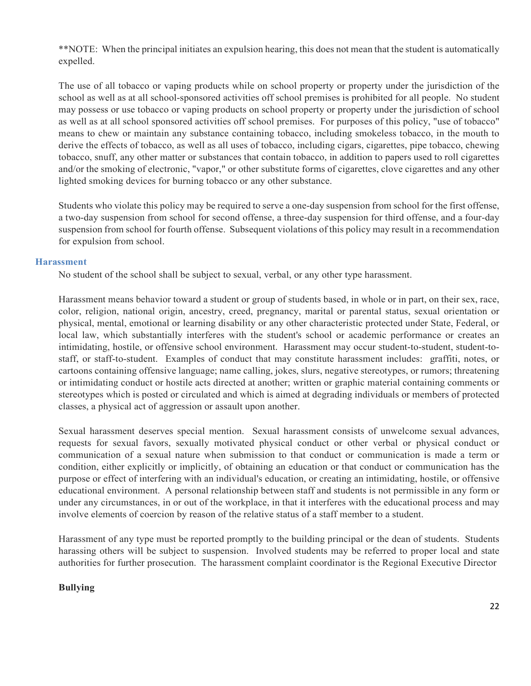\*\*NOTE: When the principal initiates an expulsion hearing, this does not mean that the student is automatically expelled.

The use of all tobacco or vaping products while on school property or property under the jurisdiction of the school as well as at all school-sponsored activities off school premises is prohibited for all people. No student may possess or use tobacco or vaping products on school property or property under the jurisdiction of school as well as at all school sponsored activities off school premises. For purposes of this policy, "use of tobacco" means to chew or maintain any substance containing tobacco, including smokeless tobacco, in the mouth to derive the effects of tobacco, as well as all uses of tobacco, including cigars, cigarettes, pipe tobacco, chewing tobacco, snuff, any other matter or substances that contain tobacco, in addition to papers used to roll cigarettes and/or the smoking of electronic, "vapor," or other substitute forms of cigarettes, clove cigarettes and any other lighted smoking devices for burning tobacco or any other substance.

Students who violate this policy may be required to serve a one-day suspension from school for the first offense, a two-day suspension from school for second offense, a three-day suspension for third offense, and a four-day suspension from school for fourth offense. Subsequent violations of this policy may result in a recommendation for expulsion from school.

#### **Harassment**

No student of the school shall be subject to sexual, verbal, or any other type harassment.

Harassment means behavior toward a student or group of students based, in whole or in part, on their sex, race, color, religion, national origin, ancestry, creed, pregnancy, marital or parental status, sexual orientation or physical, mental, emotional or learning disability or any other characteristic protected under State, Federal, or local law, which substantially interferes with the student's school or academic performance or creates an intimidating, hostile, or offensive school environment. Harassment may occur student-to-student, student-tostaff, or staff-to-student. Examples of conduct that may constitute harassment includes: graffiti, notes, or cartoons containing offensive language; name calling, jokes, slurs, negative stereotypes, or rumors; threatening or intimidating conduct or hostile acts directed at another; written or graphic material containing comments or stereotypes which is posted or circulated and which is aimed at degrading individuals or members of protected classes, a physical act of aggression or assault upon another.

Sexual harassment deserves special mention. Sexual harassment consists of unwelcome sexual advances, requests for sexual favors, sexually motivated physical conduct or other verbal or physical conduct or communication of a sexual nature when submission to that conduct or communication is made a term or condition, either explicitly or implicitly, of obtaining an education or that conduct or communication has the purpose or effect of interfering with an individual's education, or creating an intimidating, hostile, or offensive educational environment. A personal relationship between staff and students is not permissible in any form or under any circumstances, in or out of the workplace, in that it interferes with the educational process and may involve elements of coercion by reason of the relative status of a staff member to a student.

Harassment of any type must be reported promptly to the building principal or the dean of students. Students harassing others will be subject to suspension. Involved students may be referred to proper local and state authorities for further prosecution. The harassment complaint coordinator is the Regional Executive Director

# **Bullying**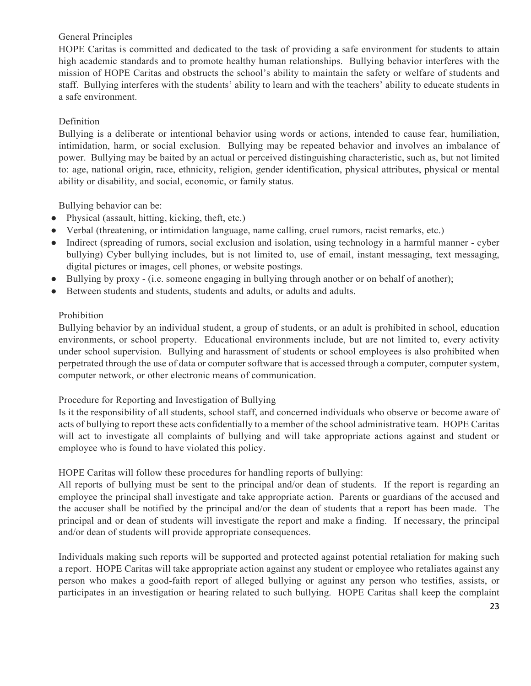# General Principles

HOPE Caritas is committed and dedicated to the task of providing a safe environment for students to attain high academic standards and to promote healthy human relationships. Bullying behavior interferes with the mission of HOPE Caritas and obstructs the school's ability to maintain the safety or welfare of students and staff. Bullying interferes with the students' ability to learn and with the teachers' ability to educate students in a safe environment.

# **Definition**

Bullying is a deliberate or intentional behavior using words or actions, intended to cause fear, humiliation, intimidation, harm, or social exclusion. Bullying may be repeated behavior and involves an imbalance of power. Bullying may be baited by an actual or perceived distinguishing characteristic, such as, but not limited to: age, national origin, race, ethnicity, religion, gender identification, physical attributes, physical or mental ability or disability, and social, economic, or family status.

Bullying behavior can be:

- Physical (assault, hitting, kicking, theft, etc.)
- Verbal (threatening, or intimidation language, name calling, cruel rumors, racist remarks, etc.)
- Indirect (spreading of rumors, social exclusion and isolation, using technology in a harmful manner cyber bullying) Cyber bullying includes, but is not limited to, use of email, instant messaging, text messaging, digital pictures or images, cell phones, or website postings.
- Bullying by proxy (i.e. someone engaging in bullying through another or on behalf of another);
- Between students and students, students and adults, or adults and adults.

# Prohibition

Bullying behavior by an individual student, a group of students, or an adult is prohibited in school, education environments, or school property. Educational environments include, but are not limited to, every activity under school supervision. Bullying and harassment of students or school employees is also prohibited when perpetrated through the use of data or computer software that is accessed through a computer, computer system, computer network, or other electronic means of communication.

# Procedure for Reporting and Investigation of Bullying

Is it the responsibility of all students, school staff, and concerned individuals who observe or become aware of acts of bullying to report these acts confidentially to a member of the school administrative team. HOPE Caritas will act to investigate all complaints of bullying and will take appropriate actions against and student or employee who is found to have violated this policy.

# HOPE Caritas will follow these procedures for handling reports of bullying:

All reports of bullying must be sent to the principal and/or dean of students. If the report is regarding an employee the principal shall investigate and take appropriate action. Parents or guardians of the accused and the accuser shall be notified by the principal and/or the dean of students that a report has been made. The principal and or dean of students will investigate the report and make a finding. If necessary, the principal and/or dean of students will provide appropriate consequences.

Individuals making such reports will be supported and protected against potential retaliation for making such a report. HOPE Caritas will take appropriate action against any student or employee who retaliates against any person who makes a good-faith report of alleged bullying or against any person who testifies, assists, or participates in an investigation or hearing related to such bullying. HOPE Caritas shall keep the complaint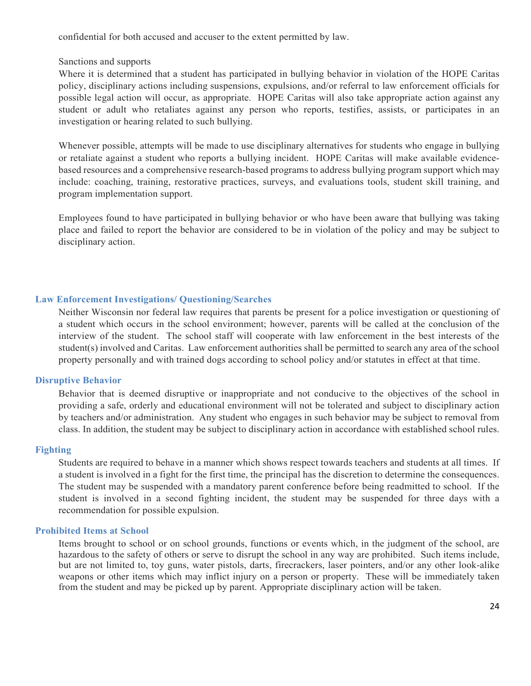confidential for both accused and accuser to the extent permitted by law.

Sanctions and supports

Where it is determined that a student has participated in bullying behavior in violation of the HOPE Caritas policy, disciplinary actions including suspensions, expulsions, and/or referral to law enforcement officials for possible legal action will occur, as appropriate. HOPE Caritas will also take appropriate action against any student or adult who retaliates against any person who reports, testifies, assists, or participates in an investigation or hearing related to such bullying.

Whenever possible, attempts will be made to use disciplinary alternatives for students who engage in bullying or retaliate against a student who reports a bullying incident. HOPE Caritas will make available evidencebased resources and a comprehensive research-based programs to address bullying program support which may include: coaching, training, restorative practices, surveys, and evaluations tools, student skill training, and program implementation support.

Employees found to have participated in bullying behavior or who have been aware that bullying was taking place and failed to report the behavior are considered to be in violation of the policy and may be subject to disciplinary action.

#### **Law Enforcement Investigations/ Questioning/Searches**

Neither Wisconsin nor federal law requires that parents be present for a police investigation or questioning of a student which occurs in the school environment; however, parents will be called at the conclusion of the interview of the student. The school staff will cooperate with law enforcement in the best interests of the student(s) involved and Caritas. Law enforcement authorities shall be permitted to search any area of the school property personally and with trained dogs according to school policy and/or statutes in effect at that time.

#### **Disruptive Behavior**

Behavior that is deemed disruptive or inappropriate and not conducive to the objectives of the school in providing a safe, orderly and educational environment will not be tolerated and subject to disciplinary action by teachers and/or administration. Any student who engages in such behavior may be subject to removal from class. In addition, the student may be subject to disciplinary action in accordance with established school rules.

#### **Fighting**

Students are required to behave in a manner which shows respect towards teachers and students at all times. If a student is involved in a fight for the first time, the principal has the discretion to determine the consequences. The student may be suspended with a mandatory parent conference before being readmitted to school. If the student is involved in a second fighting incident, the student may be suspended for three days with a recommendation for possible expulsion.

#### **Prohibited Items at School**

Items brought to school or on school grounds, functions or events which, in the judgment of the school, are hazardous to the safety of others or serve to disrupt the school in any way are prohibited. Such items include, but are not limited to, toy guns, water pistols, darts, firecrackers, laser pointers, and/or any other look-alike weapons or other items which may inflict injury on a person or property. These will be immediately taken from the student and may be picked up by parent. Appropriate disciplinary action will be taken.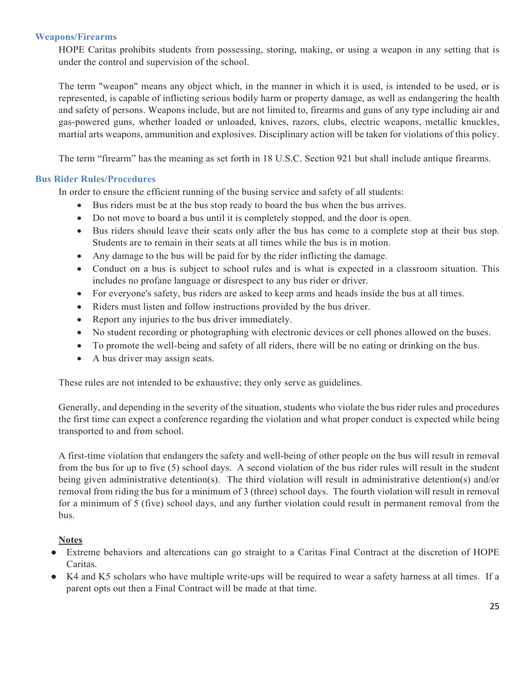#### **Weapons/Firearms**

HOPE Caritas prohibits students from possessing, storing, making, or using a weapon in any setting that is under the control and supervision of the school.

The term "weapon" means any object which, in the manner in which it is used, is intended to be used, or is represented, is capable of inflicting serious bodily harm or property damage, as well as endangering the health and safety of persons. Weapons include, but are not limited to, firearms and guns of any type including air and gas-powered guns, whether loaded or unloaded, knives, razors, clubs, electric weapons, metallic knuckles, martial arts weapons, ammunition and explosives. Disciplinary action will be taken for violations of this policy.

The term "firearm" has the meaning as set forth in 18 U.S.C. Section 921 but shall include antique firearms.

## **Bus Rider Rules/Procedures**

In order to ensure the efficient running of the busing service and safety of all students:

- Bus riders must be at the bus stop ready to board the bus when the bus arrives.
- Do not move to board a bus until it is completely stopped, and the door is open.
- Bus riders should leave their seats only after the bus has come to a complete stop at their bus stop. Students are to remain in their seats at all times while the bus is in motion.
- Any damage to the bus will be paid for by the rider inflicting the damage.
- Conduct on a bus is subject to school rules and is what is expected in a classroom situation. This includes no profane language or disrespect to any bus rider or driver.
- For everyone's safety, bus riders are asked to keep arms and heads inside the bus at all times.
- Riders must listen and follow instructions provided by the bus driver.
- Report any injuries to the bus driver immediately.
- No student recording or photographing with electronic devices or cell phones allowed on the buses.
- To promote the well-being and safety of all riders, there will be no eating or drinking on the bus.
- A bus driver may assign seats.

These rules are not intended to be exhaustive; they only serve as guidelines.

Generally, and depending in the severity of the situation, students who violate the bus rider rules and procedures the first time can expect a conference regarding the violation and what proper conduct is expected while being transported to and from school.

A first-time violation that endangers the safety and well-being of other people on the bus will result in removal from the bus for up to five (5) school days. A second violation of the bus rider rules will result in the student being given administrative detention(s). The third violation will result in administrative detention(s) and/or removal from riding the bus for a minimum of 3 (three) school days. The fourth violation will result in removal for a minimum of 5 (five) school days, and any further violation could result in permanent removal from the bus.

#### **Notes**

- Extreme behaviors and altercations can go straight to a Caritas Final Contract at the discretion of HOPE Caritas.
- K4 and K5 scholars who have multiple write-ups will be required to wear a safety harness at all times. If a parent opts out then a Final Contract will be made at that time.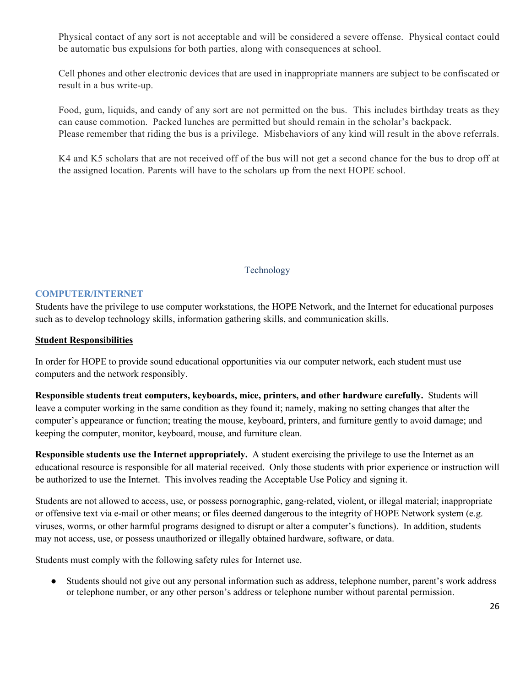Physical contact of any sort is not acceptable and will be considered a severe offense. Physical contact could be automatic bus expulsions for both parties, along with consequences at school.

Cell phones and other electronic devices that are used in inappropriate manners are subject to be confiscated or result in a bus write-up.

Food, gum, liquids, and candy of any sort are not permitted on the bus. This includes birthday treats as they can cause commotion. Packed lunches are permitted but should remain in the scholar's backpack. Please remember that riding the bus is a privilege. Misbehaviors of any kind will result in the above referrals.

K4 and K5 scholars that are not received off of the bus will not get a second chance for the bus to drop off at the assigned location. Parents will have to the scholars up from the next HOPE school.

# Technology

## **COMPUTER/INTERNET**

Students have the privilege to use computer workstations, the HOPE Network, and the Internet for educational purposes such as to develop technology skills, information gathering skills, and communication skills.

## **Student Responsibilities**

In order for HOPE to provide sound educational opportunities via our computer network, each student must use computers and the network responsibly.

**Responsible students treat computers, keyboards, mice, printers, and other hardware carefully.** Students will leave a computer working in the same condition as they found it; namely, making no setting changes that alter the computer's appearance or function; treating the mouse, keyboard, printers, and furniture gently to avoid damage; and keeping the computer, monitor, keyboard, mouse, and furniture clean.

**Responsible students use the Internet appropriately.** A student exercising the privilege to use the Internet as an educational resource is responsible for all material received. Only those students with prior experience or instruction will be authorized to use the Internet. This involves reading the Acceptable Use Policy and signing it.

Students are not allowed to access, use, or possess pornographic, gang-related, violent, or illegal material; inappropriate or offensive text via e-mail or other means; or files deemed dangerous to the integrity of HOPE Network system (e.g. viruses, worms, or other harmful programs designed to disrupt or alter a computer's functions). In addition, students may not access, use, or possess unauthorized or illegally obtained hardware, software, or data.

Students must comply with the following safety rules for Internet use.

● Students should not give out any personal information such as address, telephone number, parent's work address or telephone number, or any other person's address or telephone number without parental permission.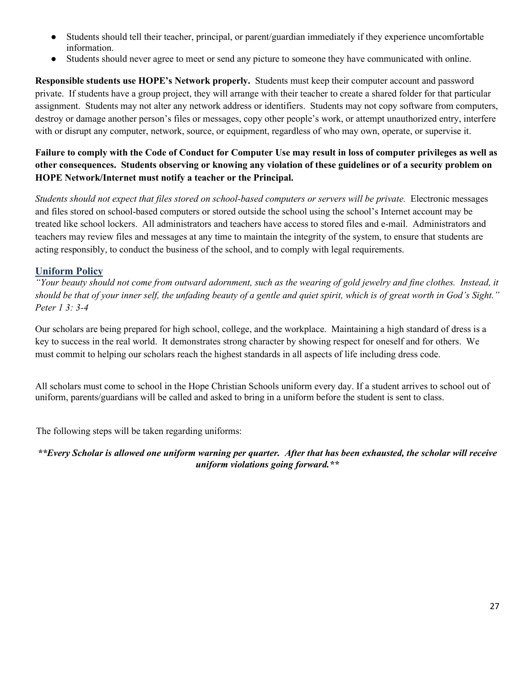- Students should tell their teacher, principal, or parent/guardian immediately if they experience uncomfortable information.
- Students should never agree to meet or send any picture to someone they have communicated with online.

**Responsible students use HOPE's Network properly.** Students must keep their computer account and password private. If students have a group project, they will arrange with their teacher to create a shared folder for that particular assignment. Students may not alter any network address or identifiers. Students may not copy software from computers, destroy or damage another person's files or messages, copy other people's work, or attempt unauthorized entry, interfere with or disrupt any computer, network, source, or equipment, regardless of who may own, operate, or supervise it.

# **Failure to comply with the Code of Conduct for Computer Use may result in loss of computer privileges as well as other consequences. Students observing or knowing any violation of these guidelines or of a security problem on HOPE Network/Internet must notify a teacher or the Principal.**

*Students should not expect that files stored on school-based computers or servers will be private.* Electronic messages and files stored on school-based computers or stored outside the school using the school's Internet account may be treated like school lockers. All administrators and teachers have access to stored files and e-mail. Administrators and teachers may review files and messages at any time to maintain the integrity of the system, to ensure that students are acting responsibly, to conduct the business of the school, and to comply with legal requirements.

# **Uniform Policy**

*"Your beauty should not come from outward adornment, such as the wearing of gold jewelry and fine clothes. Instead, it should be that of your inner self, the unfading beauty of a gentle and quiet spirit, which is of great worth in God's Sight." Peter 1 3: 3-4*

Our scholars are being prepared for high school, college, and the workplace. Maintaining a high standard of dress is a key to success in the real world. It demonstrates strong character by showing respect for oneself and for others. We must commit to helping our scholars reach the highest standards in all aspects of life including dress code.

All scholars must come to school in the Hope Christian Schools uniform every day. If a student arrives to school out of uniform, parents/guardians will be called and asked to bring in a uniform before the student is sent to class.

The following steps will be taken regarding uniforms:

*\*\*Every Scholar is allowed one uniform warning per quarter. After that has been exhausted, the scholar will receive uniform violations going forward.\*\**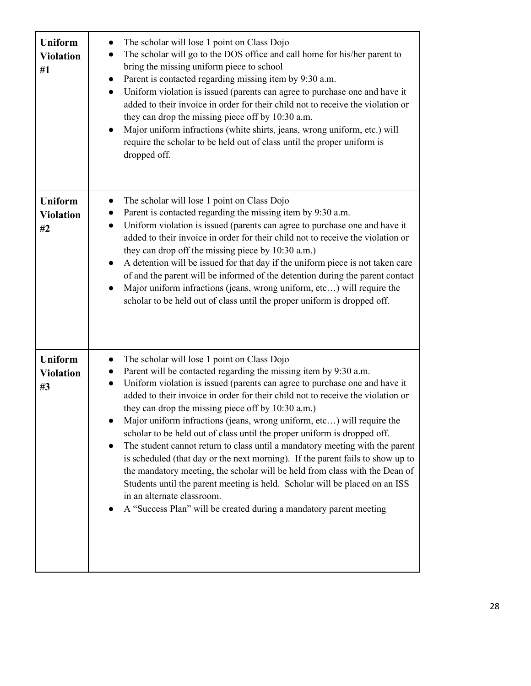| <b>Uniform</b><br><b>Violation</b><br>#1 | The scholar will lose 1 point on Class Dojo<br>The scholar will go to the DOS office and call home for his/her parent to<br>bring the missing uniform piece to school<br>Parent is contacted regarding missing item by 9:30 a.m.<br>Uniform violation is issued (parents can agree to purchase one and have it<br>added to their invoice in order for their child not to receive the violation or<br>they can drop the missing piece off by 10:30 a.m.<br>Major uniform infractions (white shirts, jeans, wrong uniform, etc.) will<br>require the scholar to be held out of class until the proper uniform is<br>dropped off.                                                                                                                                                                                                                                                                                                                |
|------------------------------------------|-----------------------------------------------------------------------------------------------------------------------------------------------------------------------------------------------------------------------------------------------------------------------------------------------------------------------------------------------------------------------------------------------------------------------------------------------------------------------------------------------------------------------------------------------------------------------------------------------------------------------------------------------------------------------------------------------------------------------------------------------------------------------------------------------------------------------------------------------------------------------------------------------------------------------------------------------|
| <b>Uniform</b><br><b>Violation</b><br>#2 | The scholar will lose 1 point on Class Dojo<br>Parent is contacted regarding the missing item by 9:30 a.m.<br>Uniform violation is issued (parents can agree to purchase one and have it<br>added to their invoice in order for their child not to receive the violation or<br>they can drop off the missing piece by 10:30 a.m.)<br>A detention will be issued for that day if the uniform piece is not taken care<br>$\bullet$<br>of and the parent will be informed of the detention during the parent contact<br>Major uniform infractions (jeans, wrong uniform, etc) will require the<br>scholar to be held out of class until the proper uniform is dropped off.                                                                                                                                                                                                                                                                       |
| <b>Uniform</b><br><b>Violation</b><br>#3 | The scholar will lose 1 point on Class Dojo<br>Parent will be contacted regarding the missing item by 9:30 a.m.<br>Uniform violation is issued (parents can agree to purchase one and have it<br>$\bullet$<br>added to their invoice in order for their child not to receive the violation or<br>they can drop the missing piece off by 10:30 a.m.)<br>Major uniform infractions (jeans, wrong uniform, etc) will require the<br>scholar to be held out of class until the proper uniform is dropped off.<br>The student cannot return to class until a mandatory meeting with the parent<br>is scheduled (that day or the next morning). If the parent fails to show up to<br>the mandatory meeting, the scholar will be held from class with the Dean of<br>Students until the parent meeting is held. Scholar will be placed on an ISS<br>in an alternate classroom.<br>A "Success Plan" will be created during a mandatory parent meeting |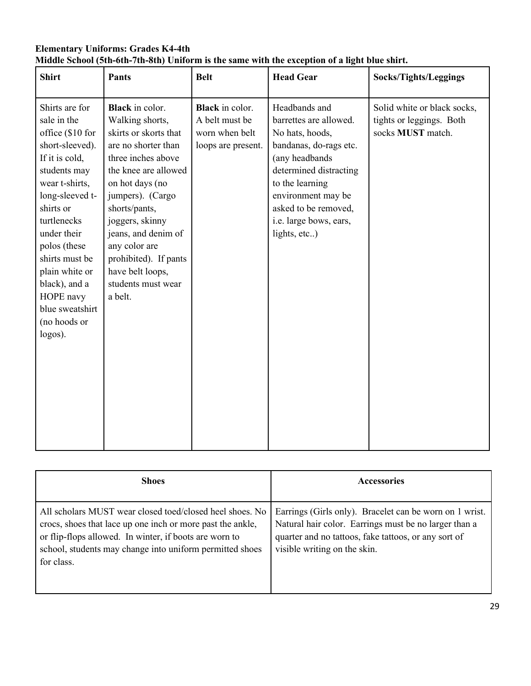| <b>Elementary Uniforms: Grades K4-4th</b> |                                                                                               |
|-------------------------------------------|-----------------------------------------------------------------------------------------------|
|                                           | Middle School (5th-6th-7th-8th) Uniform is the same with the exception of a light blue shirt. |

| <b>Shirt</b>                                                                                                                                                                                                                                                                                                           | <b>Pants</b>                                                                                                                                                                                                                                                                                                                             | <b>Belt</b>                                                                      | <b>Head Gear</b>                                                                                                                                                                                                                            | Socks/Tights/Leggings                                                        |
|------------------------------------------------------------------------------------------------------------------------------------------------------------------------------------------------------------------------------------------------------------------------------------------------------------------------|------------------------------------------------------------------------------------------------------------------------------------------------------------------------------------------------------------------------------------------------------------------------------------------------------------------------------------------|----------------------------------------------------------------------------------|---------------------------------------------------------------------------------------------------------------------------------------------------------------------------------------------------------------------------------------------|------------------------------------------------------------------------------|
| Shirts are for<br>sale in the<br>office (\$10 for<br>short-sleeved).<br>If it is cold,<br>students may<br>wear t-shirts,<br>long-sleeved t-<br>shirts or<br>turtlenecks<br>under their<br>polos (these<br>shirts must be<br>plain white or<br>black), and a<br>HOPE navy<br>blue sweatshirt<br>(no hoods or<br>logos). | <b>Black</b> in color.<br>Walking shorts,<br>skirts or skorts that<br>are no shorter than<br>three inches above<br>the knee are allowed<br>on hot days (no<br>jumpers). (Cargo<br>shorts/pants,<br>joggers, skinny<br>jeans, and denim of<br>any color are<br>prohibited). If pants<br>have belt loops,<br>students must wear<br>a belt. | <b>Black</b> in color.<br>A belt must be<br>worn when belt<br>loops are present. | Headbands and<br>barrettes are allowed.<br>No hats, hoods,<br>bandanas, do-rags etc.<br>(any headbands<br>determined distracting<br>to the learning<br>environment may be<br>asked to be removed,<br>i.e. large bows, ears,<br>lights, etc) | Solid white or black socks,<br>tights or leggings. Both<br>socks MUST match. |

| <b>Shoes</b>                                                                                                                                                                                                                                               | Accessories                                                                                                                                                                                              |
|------------------------------------------------------------------------------------------------------------------------------------------------------------------------------------------------------------------------------------------------------------|----------------------------------------------------------------------------------------------------------------------------------------------------------------------------------------------------------|
| All scholars MUST wear closed toed/closed heel shoes. No<br>crocs, shoes that lace up one inch or more past the ankle,<br>or flip-flops allowed. In winter, if boots are worn to<br>school, students may change into uniform permitted shoes<br>for class. | Earrings (Girls only). Bracelet can be worn on 1 wrist.<br>Natural hair color. Earrings must be no larger than a<br>quarter and no tattoos, fake tattoos, or any sort of<br>visible writing on the skin. |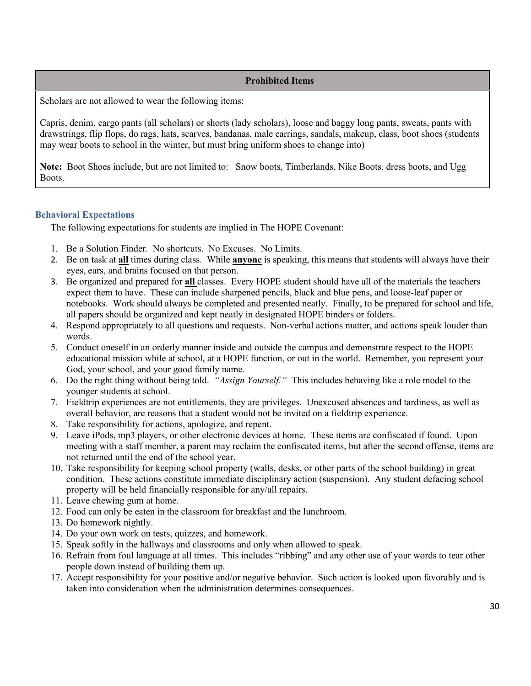# **Prohibited Items**

Scholars are not allowed to wear the following items:

Capris, denim, cargo pants (all scholars) or shorts (lady scholars), loose and baggy long pants, sweats, pants with drawstrings, flip flops, do rags, hats, scarves, bandanas, male earrings, sandals, makeup, class, boot shoes (students may wear boots to school in the winter, but must bring uniform shoes to change into)

**Note:** Boot Shoes include, but are not limited to: Snow boots, Timberlands, Nike Boots, dress boots, and Ugg Boots.

## **Behavioral Expectations**

The following expectations for students are implied in The HOPE Covenant:

- 1. Be a Solution Finder. No shortcuts. No Excuses. No Limits.
- 2. Be on task at **all** times during class. While **anyone** is speaking, this means that students will always have their eyes, ears, and brains focused on that person.
- 3. Be organized and prepared for **all** classes. Every HOPE student should have all of the materials the teachers expect them to have. These can include sharpened pencils, black and blue pens, and loose-leaf paper or notebooks. Work should always be completed and presented neatly. Finally, to be prepared for school and life, all papers should be organized and kept neatly in designated HOPE binders or folders.
- 4. Respond appropriately to all questions and requests. Non-verbal actions matter, and actions speak louder than words.
- 5. Conduct oneself in an orderly manner inside and outside the campus and demonstrate respect to the HOPE educational mission while at school, at a HOPE function, or out in the world. Remember, you represent your God, your school, and your good family name.
- 6. Do the right thing without being told. *"Assign Yourself."* This includes behaving like a role model to the younger students at school.
- 7. Fieldtrip experiences are not entitlements, they are privileges. Unexcused absences and tardiness, as well as overall behavior, are reasons that a student would not be invited on a fieldtrip experience.
- 8. Take responsibility for actions, apologize, and repent.
- 9. Leave iPods, mp3 players, or other electronic devices at home. These items are confiscated if found. Upon meeting with a staff member, a parent may reclaim the confiscated items, but after the second offense, items are not returned until the end of the school year.
- 10. Take responsibility for keeping school property (walls, desks, or other parts of the school building) in great condition. These actions constitute immediate disciplinary action (suspension). Any student defacing school property will be held financially responsible for any/all repairs.
- 11. Leave chewing gum at home.
- 12. Food can only be eaten in the classroom for breakfast and the lunchroom.
- 13. Do homework nightly.
- 14. Do your own work on tests, quizzes, and homework.
- 15. Speak softly in the hallways and classrooms and only when allowed to speak.
- 16. Refrain from foul language at all times. This includes "ribbing" and any other use of your words to tear other people down instead of building them up.
- 17. Accept responsibility for your positive and/or negative behavior. Such action is looked upon favorably and is taken into consideration when the administration determines consequences.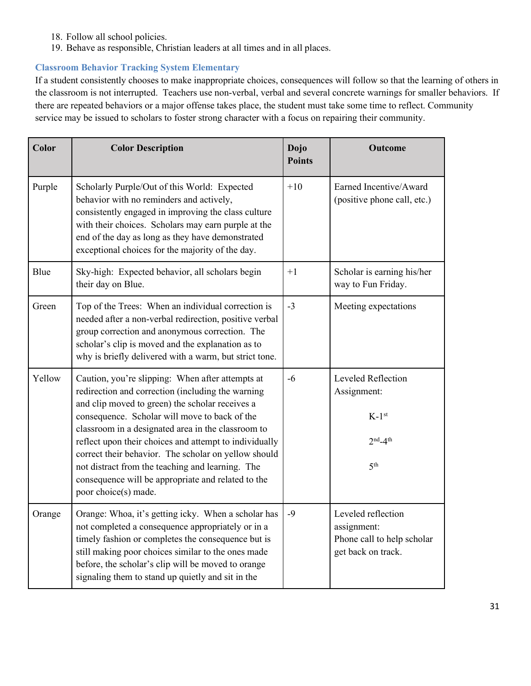- 18. Follow all school policies.
- 19. Behave as responsible, Christian leaders at all times and in all places.

# **Classroom Behavior Tracking System Elementary**

If a student consistently chooses to make inappropriate choices, consequences will follow so that the learning of others in the classroom is not interrupted. Teachers use non-verbal, verbal and several concrete warnings for smaller behaviors. If there are repeated behaviors or a major offense takes place, the student must take some time to reflect. Community service may be issued to scholars to foster strong character with a focus on repairing their community.

| Color  | <b>Color Description</b>                                                                                                                                                                                                                                                                                                                                                                                                                                                                                            | Dojo<br><b>Points</b> | Outcome                                                                                  |
|--------|---------------------------------------------------------------------------------------------------------------------------------------------------------------------------------------------------------------------------------------------------------------------------------------------------------------------------------------------------------------------------------------------------------------------------------------------------------------------------------------------------------------------|-----------------------|------------------------------------------------------------------------------------------|
| Purple | Scholarly Purple/Out of this World: Expected<br>behavior with no reminders and actively,<br>consistently engaged in improving the class culture<br>with their choices. Scholars may earn purple at the<br>end of the day as long as they have demonstrated<br>exceptional choices for the majority of the day.                                                                                                                                                                                                      |                       | Earned Incentive/Award<br>(positive phone call, etc.)                                    |
| Blue   | Sky-high: Expected behavior, all scholars begin<br>their day on Blue.                                                                                                                                                                                                                                                                                                                                                                                                                                               | $+1$                  | Scholar is earning his/her<br>way to Fun Friday.                                         |
| Green  | Top of the Trees: When an individual correction is<br>needed after a non-verbal redirection, positive verbal<br>group correction and anonymous correction. The<br>scholar's clip is moved and the explanation as to<br>why is briefly delivered with a warm, but strict tone.                                                                                                                                                                                                                                       | $-3$                  | Meeting expectations                                                                     |
| Yellow | Caution, you're slipping: When after attempts at<br>redirection and correction (including the warning<br>and clip moved to green) the scholar receives a<br>consequence. Scholar will move to back of the<br>classroom in a designated area in the classroom to<br>reflect upon their choices and attempt to individually<br>correct their behavior. The scholar on yellow should<br>not distract from the teaching and learning. The<br>consequence will be appropriate and related to the<br>poor choice(s) made. | $-6$                  | Leveled Reflection<br>Assignment:<br>$K-1$ <sup>st</sup><br>$2nd-4th$<br>5 <sup>th</sup> |
| Orange | Orange: Whoa, it's getting icky. When a scholar has<br>not completed a consequence appropriately or in a<br>timely fashion or completes the consequence but is<br>still making poor choices similar to the ones made<br>before, the scholar's clip will be moved to orange<br>signaling them to stand up quietly and sit in the                                                                                                                                                                                     | $-9$                  | Leveled reflection<br>assignment:<br>Phone call to help scholar<br>get back on track.    |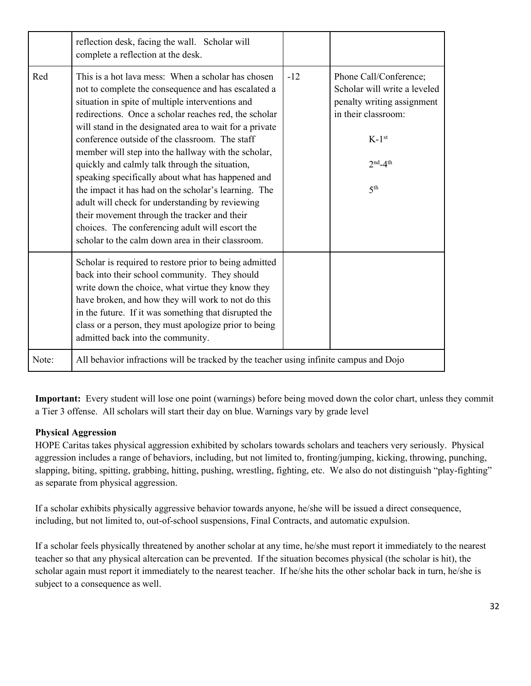|       | reflection desk, facing the wall. Scholar will<br>complete a reflection at the desk.                                                                                                                                                                                                                                                                                                                                                                                                                                                                                                                                                                                                                                                                                 |       |                                                                                                                                                                    |
|-------|----------------------------------------------------------------------------------------------------------------------------------------------------------------------------------------------------------------------------------------------------------------------------------------------------------------------------------------------------------------------------------------------------------------------------------------------------------------------------------------------------------------------------------------------------------------------------------------------------------------------------------------------------------------------------------------------------------------------------------------------------------------------|-------|--------------------------------------------------------------------------------------------------------------------------------------------------------------------|
| Red   | This is a hot lava mess: When a scholar has chosen<br>not to complete the consequence and has escalated a<br>situation in spite of multiple interventions and<br>redirections. Once a scholar reaches red, the scholar<br>will stand in the designated area to wait for a private<br>conference outside of the classroom. The staff<br>member will step into the hallway with the scholar,<br>quickly and calmly talk through the situation,<br>speaking specifically about what has happened and<br>the impact it has had on the scholar's learning. The<br>adult will check for understanding by reviewing<br>their movement through the tracker and their<br>choices. The conferencing adult will escort the<br>scholar to the calm down area in their classroom. | $-12$ | Phone Call/Conference;<br>Scholar will write a leveled<br>penalty writing assignment<br>in their classroom:<br>$K-1$ <sup>st</sup><br>$2nd-4th$<br>5 <sup>th</sup> |
|       | Scholar is required to restore prior to being admitted<br>back into their school community. They should<br>write down the choice, what virtue they know they<br>have broken, and how they will work to not do this<br>in the future. If it was something that disrupted the<br>class or a person, they must apologize prior to being<br>admitted back into the community.                                                                                                                                                                                                                                                                                                                                                                                            |       |                                                                                                                                                                    |
| Note: | All behavior infractions will be tracked by the teacher using infinite campus and Dojo                                                                                                                                                                                                                                                                                                                                                                                                                                                                                                                                                                                                                                                                               |       |                                                                                                                                                                    |

**Important:** Every student will lose one point (warnings) before being moved down the color chart, unless they commit a Tier 3 offense. All scholars will start their day on blue. Warnings vary by grade level

# **Physical Aggression**

HOPE Caritas takes physical aggression exhibited by scholars towards scholars and teachers very seriously. Physical aggression includes a range of behaviors, including, but not limited to, fronting/jumping, kicking, throwing, punching, slapping, biting, spitting, grabbing, hitting, pushing, wrestling, fighting, etc. We also do not distinguish "play-fighting" as separate from physical aggression.

If a scholar exhibits physically aggressive behavior towards anyone, he/she will be issued a direct consequence, including, but not limited to, out-of-school suspensions, Final Contracts, and automatic expulsion.

If a scholar feels physically threatened by another scholar at any time, he/she must report it immediately to the nearest teacher so that any physical altercation can be prevented. If the situation becomes physical (the scholar is hit), the scholar again must report it immediately to the nearest teacher. If he/she hits the other scholar back in turn, he/she is subject to a consequence as well.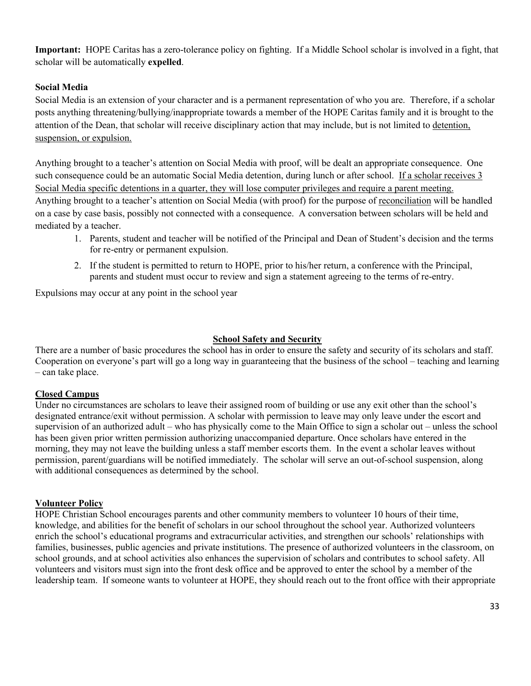**Important:** HOPE Caritas has a zero-tolerance policy on fighting. If a Middle School scholar is involved in a fight, that scholar will be automatically **expelled**.

# **Social Media**

Social Media is an extension of your character and is a permanent representation of who you are. Therefore, if a scholar posts anything threatening/bullying/inappropriate towards a member of the HOPE Caritas family and it is brought to the attention of the Dean, that scholar will receive disciplinary action that may include, but is not limited to detention, suspension, or expulsion.

Anything brought to a teacher's attention on Social Media with proof, will be dealt an appropriate consequence. One such consequence could be an automatic Social Media detention, during lunch or after school. If a scholar receives 3 Social Media specific detentions in a quarter, they will lose computer privileges and require a parent meeting. Anything brought to a teacher's attention on Social Media (with proof) for the purpose of reconciliation will be handled on a case by case basis, possibly not connected with a consequence. A conversation between scholars will be held and mediated by a teacher.

- 1. Parents, student and teacher will be notified of the Principal and Dean of Student's decision and the terms for re-entry or permanent expulsion.
- 2. If the student is permitted to return to HOPE, prior to his/her return, a conference with the Principal, parents and student must occur to review and sign a statement agreeing to the terms of re-entry.

Expulsions may occur at any point in the school year

## **School Safety and Security**

There are a number of basic procedures the school has in order to ensure the safety and security of its scholars and staff. Cooperation on everyone's part will go a long way in guaranteeing that the business of the school – teaching and learning – can take place.

# **Closed Campus**

Under no circumstances are scholars to leave their assigned room of building or use any exit other than the school's designated entrance/exit without permission. A scholar with permission to leave may only leave under the escort and supervision of an authorized adult – who has physically come to the Main Office to sign a scholar out – unless the school has been given prior written permission authorizing unaccompanied departure. Once scholars have entered in the morning, they may not leave the building unless a staff member escorts them. In the event a scholar leaves without permission, parent/guardians will be notified immediately. The scholar will serve an out-of-school suspension, along with additional consequences as determined by the school.

# **Volunteer Policy**

HOPE Christian School encourages parents and other community members to volunteer 10 hours of their time, knowledge, and abilities for the benefit of scholars in our school throughout the school year. Authorized volunteers enrich the school's educational programs and extracurricular activities, and strengthen our schools' relationships with families, businesses, public agencies and private institutions. The presence of authorized volunteers in the classroom, on school grounds, and at school activities also enhances the supervision of scholars and contributes to school safety. All volunteers and visitors must sign into the front desk office and be approved to enter the school by a member of the leadership team. If someone wants to volunteer at HOPE, they should reach out to the front office with their appropriate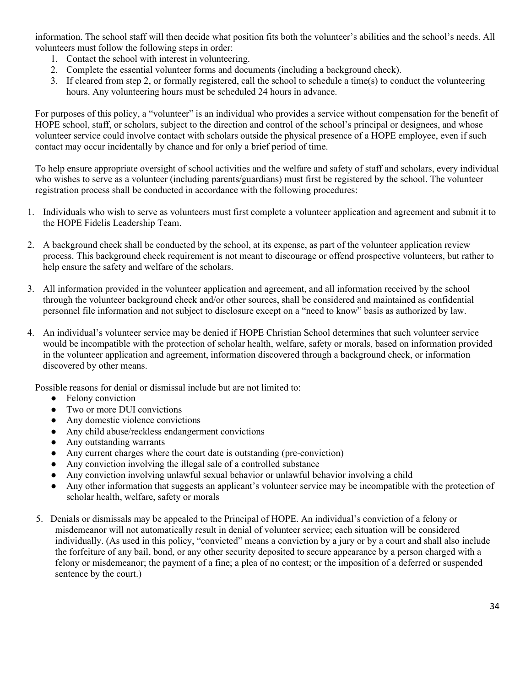information. The school staff will then decide what position fits both the volunteer's abilities and the school's needs. All volunteers must follow the following steps in order:

- 1. Contact the school with interest in volunteering.
- 2. Complete the essential volunteer forms and documents (including a background check).
- 3. If cleared from step 2, or formally registered, call the school to schedule a time(s) to conduct the volunteering hours. Any volunteering hours must be scheduled 24 hours in advance.

For purposes of this policy, a "volunteer" is an individual who provides a service without compensation for the benefit of HOPE school, staff, or scholars, subject to the direction and control of the school's principal or designees, and whose volunteer service could involve contact with scholars outside the physical presence of a HOPE employee, even if such contact may occur incidentally by chance and for only a brief period of time.

To help ensure appropriate oversight of school activities and the welfare and safety of staff and scholars, every individual who wishes to serve as a volunteer (including parents/guardians) must first be registered by the school. The volunteer registration process shall be conducted in accordance with the following procedures:

- 1. Individuals who wish to serve as volunteers must first complete a volunteer application and agreement and submit it to the HOPE Fidelis Leadership Team.
- 2. A background check shall be conducted by the school, at its expense, as part of the volunteer application review process. This background check requirement is not meant to discourage or offend prospective volunteers, but rather to help ensure the safety and welfare of the scholars.
- 3. All information provided in the volunteer application and agreement, and all information received by the school through the volunteer background check and/or other sources, shall be considered and maintained as confidential personnel file information and not subject to disclosure except on a "need to know" basis as authorized by law.
- 4. An individual's volunteer service may be denied if HOPE Christian School determines that such volunteer service would be incompatible with the protection of scholar health, welfare, safety or morals, based on information provided in the volunteer application and agreement, information discovered through a background check, or information discovered by other means.

Possible reasons for denial or dismissal include but are not limited to:

- Felony conviction
- Two or more DUI convictions
- Any domestic violence convictions
- Any child abuse/reckless endangerment convictions
- Any outstanding warrants
- Any current charges where the court date is outstanding (pre-conviction)
- Any conviction involving the illegal sale of a controlled substance
- Any conviction involving unlawful sexual behavior or unlawful behavior involving a child
- Any other information that suggests an applicant's volunteer service may be incompatible with the protection of scholar health, welfare, safety or morals
- 5. Denials or dismissals may be appealed to the Principal of HOPE. An individual's conviction of a felony or misdemeanor will not automatically result in denial of volunteer service; each situation will be considered individually. (As used in this policy, "convicted" means a conviction by a jury or by a court and shall also include the forfeiture of any bail, bond, or any other security deposited to secure appearance by a person charged with a felony or misdemeanor; the payment of a fine; a plea of no contest; or the imposition of a deferred or suspended sentence by the court.)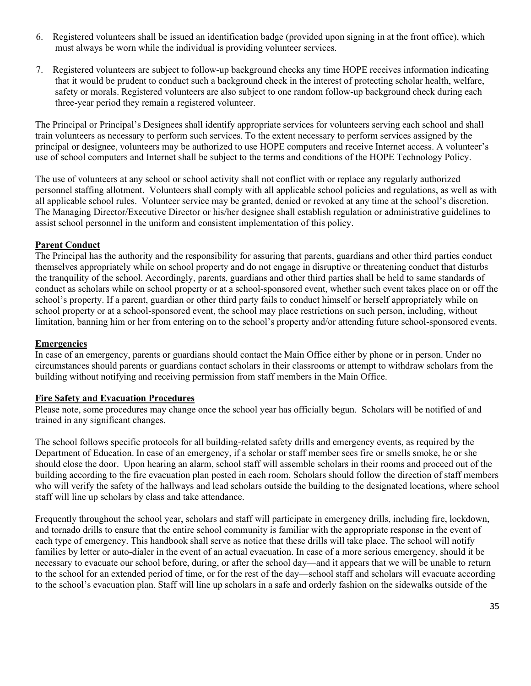- 6. Registered volunteers shall be issued an identification badge (provided upon signing in at the front office), which must always be worn while the individual is providing volunteer services.
- 7. Registered volunteers are subject to follow-up background checks any time HOPE receives information indicating that it would be prudent to conduct such a background check in the interest of protecting scholar health, welfare, safety or morals. Registered volunteers are also subject to one random follow-up background check during each three-year period they remain a registered volunteer.

The Principal or Principal's Designees shall identify appropriate services for volunteers serving each school and shall train volunteers as necessary to perform such services. To the extent necessary to perform services assigned by the principal or designee, volunteers may be authorized to use HOPE computers and receive Internet access. A volunteer's use of school computers and Internet shall be subject to the terms and conditions of the HOPE Technology Policy.

The use of volunteers at any school or school activity shall not conflict with or replace any regularly authorized personnel staffing allotment. Volunteers shall comply with all applicable school policies and regulations, as well as with all applicable school rules. Volunteer service may be granted, denied or revoked at any time at the school's discretion. The Managing Director/Executive Director or his/her designee shall establish regulation or administrative guidelines to assist school personnel in the uniform and consistent implementation of this policy.

# **Parent Conduct**

The Principal has the authority and the responsibility for assuring that parents, guardians and other third parties conduct themselves appropriately while on school property and do not engage in disruptive or threatening conduct that disturbs the tranquility of the school. Accordingly, parents, guardians and other third parties shall be held to same standards of conduct as scholars while on school property or at a school-sponsored event, whether such event takes place on or off the school's property. If a parent, guardian or other third party fails to conduct himself or herself appropriately while on school property or at a school-sponsored event, the school may place restrictions on such person, including, without limitation, banning him or her from entering on to the school's property and/or attending future school-sponsored events.

#### **Emergencies**

In case of an emergency, parents or guardians should contact the Main Office either by phone or in person. Under no circumstances should parents or guardians contact scholars in their classrooms or attempt to withdraw scholars from the building without notifying and receiving permission from staff members in the Main Office.

#### **Fire Safety and Evacuation Procedures**

Please note, some procedures may change once the school year has officially begun. Scholars will be notified of and trained in any significant changes.

The school follows specific protocols for all building-related safety drills and emergency events, as required by the Department of Education. In case of an emergency, if a scholar or staff member sees fire or smells smoke, he or she should close the door. Upon hearing an alarm, school staff will assemble scholars in their rooms and proceed out of the building according to the fire evacuation plan posted in each room. Scholars should follow the direction of staff members who will verify the safety of the hallways and lead scholars outside the building to the designated locations, where school staff will line up scholars by class and take attendance.

Frequently throughout the school year, scholars and staff will participate in emergency drills, including fire, lockdown, and tornado drills to ensure that the entire school community is familiar with the appropriate response in the event of each type of emergency. This handbook shall serve as notice that these drills will take place. The school will notify families by letter or auto-dialer in the event of an actual evacuation. In case of a more serious emergency, should it be necessary to evacuate our school before, during, or after the school day—and it appears that we will be unable to return to the school for an extended period of time, or for the rest of the day—school staff and scholars will evacuate according to the school's evacuation plan. Staff will line up scholars in a safe and orderly fashion on the sidewalks outside of the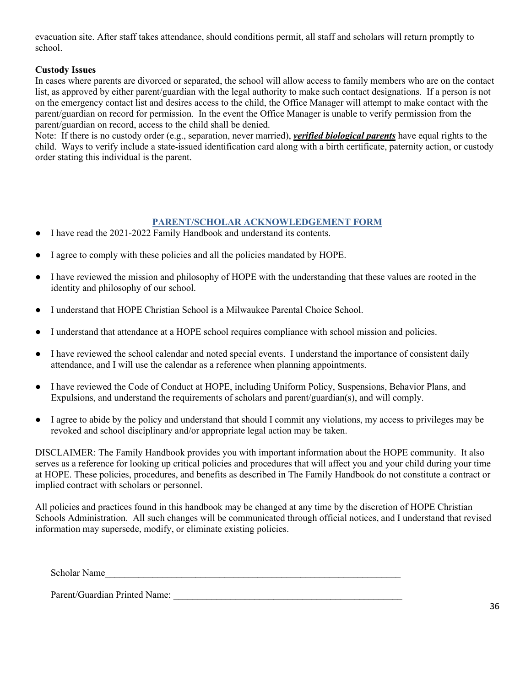evacuation site. After staff takes attendance, should conditions permit, all staff and scholars will return promptly to school.

# **Custody Issues**

In cases where parents are divorced or separated, the school will allow access to family members who are on the contact list, as approved by either parent/guardian with the legal authority to make such contact designations. If a person is not on the emergency contact list and desires access to the child, the Office Manager will attempt to make contact with the parent/guardian on record for permission. In the event the Office Manager is unable to verify permission from the parent/guardian on record, access to the child shall be denied.

Note: If there is no custody order (e.g., separation, never married), *verified biological parents* have equal rights to the child. Ways to verify include a state-issued identification card along with a birth certificate, paternity action, or custody order stating this individual is the parent.

# **PARENT/SCHOLAR ACKNOWLEDGEMENT FORM**

- I have read the 2021-2022 Family Handbook and understand its contents.
- I agree to comply with these policies and all the policies mandated by HOPE.
- I have reviewed the mission and philosophy of HOPE with the understanding that these values are rooted in the identity and philosophy of our school.
- I understand that HOPE Christian School is a Milwaukee Parental Choice School.
- I understand that attendance at a HOPE school requires compliance with school mission and policies.
- I have reviewed the school calendar and noted special events. I understand the importance of consistent daily attendance, and I will use the calendar as a reference when planning appointments.
- I have reviewed the Code of Conduct at HOPE, including Uniform Policy, Suspensions, Behavior Plans, and Expulsions, and understand the requirements of scholars and parent/guardian(s), and will comply.
- I agree to abide by the policy and understand that should I commit any violations, my access to privileges may be revoked and school disciplinary and/or appropriate legal action may be taken.

DISCLAIMER: The Family Handbook provides you with important information about the HOPE community. It also serves as a reference for looking up critical policies and procedures that will affect you and your child during your time at HOPE. These policies, procedures, and benefits as described in The Family Handbook do not constitute a contract or implied contract with scholars or personnel.

All policies and practices found in this handbook may be changed at any time by the discretion of HOPE Christian Schools Administration. All such changes will be communicated through official notices, and I understand that revised information may supersede, modify, or eliminate existing policies.

Scholar Name

Parent/Guardian Printed Name: